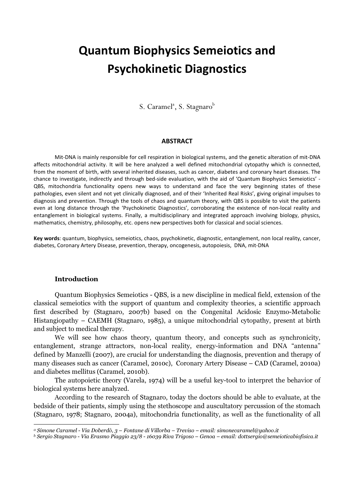# Quantum Biophysics Semeiotics and Psychokinetic Diagnostics

S. Caramel<sup>a</sup>, S. Stagnaro<sup>b</sup>

#### **ABSTRACT**

Mit-DNA is mainly responsible for cell respiration in biological systems, and the genetic alteration of mit-DNA affects mitochondrial activity. It will be here analyzed a well defined mitochondrial cytopathy which is connected, from the moment of birth, with several inherited diseases, such as cancer, diabetes and coronary heart diseases. The chance to investigate, indirectly and through bed-side evaluation, with the aid of 'Quantum Biophysics Semeiotics' - QBS, mitochondria functionality opens new ways to understand and face the very beginning states of these pathologies, even silent and not yet clinically diagnosed, and of their 'Inherited Real Risks', giving original impulses to diagnosis and prevention. Through the tools of chaos and quantum theory, with QBS is possible to visit the patients even at long distance through the 'Psychokinetic Diagnostics', corroborating the existence of non-local reality and entanglement in biological systems. Finally, a multidisciplinary and integrated approach involving biology, physics, mathematics, chemistry, philosophy, etc. opens new perspectives both for classical and social sciences.

Key words: quantum, biophysics, semeiotics, chaos, psychokinetic, diagnostic, entanglement, non local reality, cancer, diabetes, Coronary Artery Disease, prevention, therapy, oncogenesis, autopoiesis, DNA, mit-DNA

# Introduction

 $\overline{a}$ 

Quantum Biophysics Semeiotics - QBS, is a new discipline in medical field, extension of the classical semeiotics with the support of quantum and complexity theories, a scientific approach first described by (Stagnaro, 2007b) based on the Congenital Acidosic Enzymo-Metabolic Histangiopathy – CAEMH (Stagnaro, 1985), a unique mitochondrial cytopathy, present at birth and subject to medical therapy.

We will see how chaos theory, quantum theory, and concepts such as synchronicity, entanglement, strange attractors, non-local reality, energy-information and DNA "antenna" defined by Manzelli (2007), are crucial for understanding the diagnosis, prevention and therapy of many diseases such as cancer (Caramel, 2010c), Coronary Artery Disease – CAD (Caramel, 2010a) and diabetes mellitus (Caramel, 2010b).

The autopoietic theory (Varela, 1974) will be a useful key-tool to interpret the behavior of biological systems here analyzed.

According to the research of Stagnaro, today the doctors should be able to evaluate, at the bedside of their patients, simply using the stethoscope and auscultatory percussion of the stomach (Stagnaro, 1978; Stagnaro, 2004a), mitochondria functionality, as well as the functionality of all

<sup>a</sup> *Simone Caramel - Via Doberdò, 3 – Fontane di Villorba – Treviso – email: simonecaramel@yahoo.it* 

<sup>b</sup> *Sergio Stagnaro - Via Erasmo Piaggio 23/8 - 16039 Riva Trigoso – Genoa – email: dottsergio@semeioticabiofisica.it*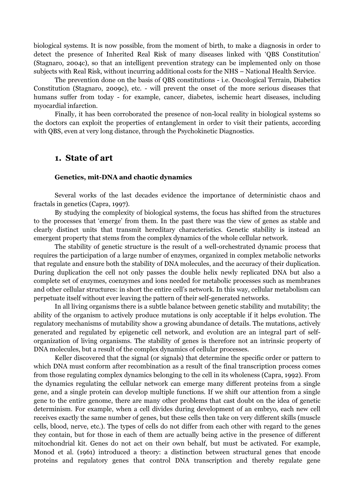biological systems. It is now possible, from the moment of birth, to make a diagnosis in order to detect the presence of Inherited Real Risk of many diseases linked with 'QBS Constitution' (Stagnaro, 2004c), so that an intelligent prevention strategy can be implemented only on those subjects with Real Risk, without incurring additional costs for the NHS – National Health Service.

The prevention done on the basis of QBS constitutions - i.e. Oncological Terrain, Diabetics Constitution (Stagnaro, 2009c), etc. - will prevent the onset of the more serious diseases that humans suffer from today - for example, cancer, diabetes, ischemic heart diseases, including myocardial infarction.

Finally, it has been corroborated the presence of non-local reality in biological systems so the doctors can exploit the properties of entanglement in order to visit their patients, according with QBS, even at very long distance, through the Psychokinetic Diagnostics.

# 1. State of art

#### Genetics, mit-DNA and chaotic dynamics

Several works of the last decades evidence the importance of deterministic chaos and fractals in genetics (Capra, 1997).

By studying the complexity of biological systems, the focus has shifted from the structures to the processes that 'emerge' from them. In the past there was the view of genes as stable and clearly distinct units that transmit hereditary characteristics. Genetic stability is instead an emergent property that stems from the complex dynamics of the whole cellular network.

The stability of genetic structure is the result of a well-orchestrated dynamic process that requires the participation of a large number of enzymes, organized in complex metabolic networks that regulate and ensure both the stability of DNA molecules, and the accuracy of their duplication. During duplication the cell not only passes the double helix newly replicated DNA but also a complete set of enzymes, coenzymes and ions needed for metabolic processes such as membranes and other cellular structures: in short the entire cell's network. In this way, cellular metabolism can perpetuate itself without ever leaving the pattern of their self-generated networks.

In all living organisms there is a subtle balance between genetic stability and mutability; the ability of the organism to actively produce mutations is only acceptable if it helps evolution. The regulatory mechanisms of mutability show a growing abundance of details. The mutations, actively generated and regulated by epigenetic cell network, and evolution are an integral part of selforganization of living organisms. The stability of genes is therefore not an intrinsic property of DNA molecules, but a result of the complex dynamics of cellular processes.

Keller discovered that the signal (or signals) that determine the specific order or pattern to which DNA must conform after recombination as a result of the final transcription process comes from those regulating complex dynamics belonging to the cell in its wholeness (Capra, 1992). From the dynamics regulating the cellular network can emerge many different proteins from a single gene, and a single protein can develop multiple functions. If we shift our attention from a single gene to the entire genome, there are many other problems that cast doubt on the idea of genetic determinism. For example, when a cell divides during development of an embryo, each new cell receives exactly the same number of genes, but these cells then take on very different skills (muscle cells, blood, nerve, etc.). The types of cells do not differ from each other with regard to the genes they contain, but for those in each of them are actually being active in the presence of different mitochondrial kit. Genes do not act on their own behalf, but must be activated. For example, Monod et al. (1961) introduced a theory: a distinction between structural genes that encode proteins and regulatory genes that control DNA transcription and thereby regulate gene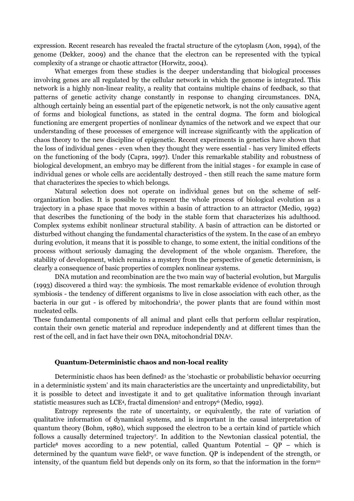expression. Recent research has revealed the fractal structure of the cytoplasm (Aon, 1994), of the genome (Dekker, 2009) and the chance that the electron can be represented with the typical complexity of a strange or chaotic attractor (Horwitz, 2004).

What emerges from these studies is the deeper understanding that biological processes involving genes are all regulated by the cellular network in which the genome is integrated. This network is a highly non-linear reality, a reality that contains multiple chains of feedback, so that patterns of genetic activity change constantly in response to changing circumstances. DNA, although certainly being an essential part of the epigenetic network, is not the only causative agent of forms and biological functions, as stated in the central dogma. The form and biological functioning are emergent properties of nonlinear dynamics of the network and we expect that our understanding of these processes of emergence will increase significantly with the application of chaos theory to the new discipline of epigenetic. Recent experiments in genetics have shown that the loss of individual genes - even when they thought they were essential - has very limited effects on the functioning of the body (Capra, 1997). Under this remarkable stability and robustness of biological development, an embryo may be different from the initial stages - for example in case of individual genes or whole cells are accidentally destroyed - then still reach the same mature form that characterizes the species to which belongs.

Natural selection does not operate on individual genes but on the scheme of selforganization bodies. It is possible to represent the whole process of biological evolution as a trajectory in a phase space that moves within a basin of attraction to an attractor (Medio, 1992) that describes the functioning of the body in the stable form that characterizes his adulthood. Complex systems exhibit nonlinear structural stability. A basin of attraction can be distorted or disturbed without changing the fundamental characteristics of the system. In the case of an embryo during evolution, it means that it is possible to change, to some extent, the initial conditions of the process without seriously damaging the development of the whole organism. Therefore, the stability of development, which remains a mystery from the perspective of genetic determinism, is clearly a consequence of basic properties of complex nonlinear systems.

DNA mutation and recombination are the two main way of bacterial evolution, but Margulis (1993) discovered a third way: the symbiosis. The most remarkable evidence of evolution through symbiosis - the tendency of different organisms to live in close association with each other, as the bacteria in our gut - is offered by mitochondria<sup>1</sup>, the power plants that are found within most nucleated cells.

These fundamental components of all animal and plant cells that perform cellular respiration, contain their own genetic material and reproduce independently and at different times than the rest of the cell, and in fact have their own DNA, mitochondrial DNA<sup>2</sup> .

#### Quantum-Deterministic chaos and non-local reality

Deterministic chaos has been defined<sup>3</sup> as the 'stochastic or probabilistic behavior occurring in a deterministic system' and its main characteristics are the uncertainty and unpredictability, but it is possible to detect and investigate it and to get qualitative information through invariant statistic measures such as LCE<sup>4</sup> , fractal dimension<sup>5</sup> and entropy<sup>6</sup> (Medio, 1992).

Entropy represents the rate of uncertainty, or equivalently, the rate of variation of qualitative information of dynamical systems, and is important in the causal interpretation of quantum theory (Bohm, 1980), which supposed the electron to be a certain kind of particle which follows a causally determined trajectory<sup>7</sup> . In addition to the Newtonian classical potential, the particle<sup>8</sup> moves according to a new potential, called Quantum Potential –  $QP -$  which is determined by the quantum wave field<sup>9</sup>, or wave function. QP is independent of the strength, or intensity, of the quantum field but depends only on its form, so that the information in the form<sup>10</sup>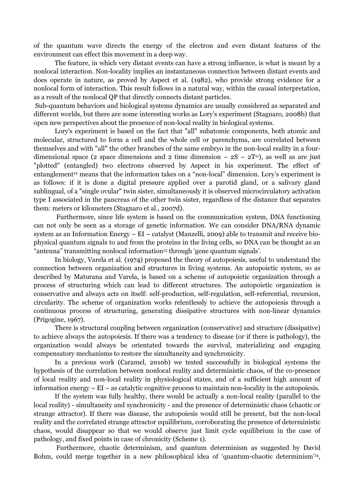of the quantum wave directs the energy of the electron and even distant features of the environment can effect this movement in a deep way.

The feature, in which very distant events can have a strong influence, is what is meant by a nonlocal interaction. Non-locality implies an instantaneous connection between distant events and does operate in nature, as proved by Aspect et al. (1982), who provide strong evidence for a nonlocal form of interaction. This result follows in a natural way, within the causal interpretation, as a result of the nonlocal QP that directly connects distant particles.

 Sub-quantum behaviors and biological systems dynamics are usually considered as separated and different worlds, but there are some interesting works as Lory's experiment (Stagnaro, 2008b) that open new perspectives about the presence of non-local reality in biological systems.

Lory's experiment is based on the fact that "all" subatomic components, both atomic and molecular, structured to form a cell and the whole cell or parenchyma, are correlated between themselves and with "all" the other branches of the same embryo in the non-local reality in a fourdimensional space (2 space dimensions and 2 time dimension –  $2S - 2T<sup>11</sup>$ ), as well as are just "plotted" (entangled) two electrons observed by Aspect in his experiment. The effect of' entanglement<sup>12</sup> means that the information takes on a "non-local" dimension. Lory's experiment is as follows: if it is done a digital pressure applied over a parotid gland, or a salivary gland sublingual, of a "single ovular" twin sister, simultaneously it is observed microcirculatory activation type I associated in the pancreas of the other twin sister, regardless of the distance that separates them: meters or kilometers (Stagnaro et al., 2007d).

 Furthermore, since life system is based on the communication system, DNA functioning can not only be seen as a storage of genetic information. We can consider DNA/RNA dynamic system as an Information Energy – EI – catalyst (Manzelli, 2009) able to transmit and receive biophysical quantum signals to and from the proteins in the living cells, so DNA can be thought as an "antenna" transmitting nonlocal information<sup>13</sup> through 'gene quantum signals'.

In biology, Varela et al. (1974) proposed the theory of autopoiesis, useful to understand the connection between organization and structures in living systems. An autopoietic system, so as described by Maturana and Varela, is based on a scheme of autopoietic organization through a process of structuring which can lead to different structures. The autopoietic organization is conservative and always acts on itself: self-production, self-regulation, self-referential, recursion, circularity. The scheme of organization works relentlessly to achieve the autopoiesis through a continuous process of structuring, generating dissipative structures with non-linear dynamics (Prigogine, 1967).

There is structural coupling between organization (conservative) and structure (dissipative) to achieve always the autopoiesis. If there was a tendency to disease (or if there is pathology), the organization would always be orientated towards the survival, materializing and engaging compensatory mechanisms to restore the simultaneity and synchronicity.

In a previous work (Caramel, 2010b) we tested successfully in biological systems the hypothesis of the correlation between nonlocal reality and deterministic chaos, of the co-presence of local reality and non-local reality in physiological states, and of a sufficient high amount of information energy – EI – as catalytic cognitive process to maintain non-locality in the autopoiesis.

If the system was fully healthy, there would be actually a non-local reality (parallel to the local reality) - simultaneity and synchronicity - and the presence of deterministic chaos (chaotic or strange attractor). If there was disease, the autopoiesis would still be present, but the non-local reality and the correlated strange attractor equilibrium, corroborating the presence of deterministic chaos, would disappear so that we would observe just limit cycle equilibrium in the case of pathology, and fixed points in case of chronicity (Scheme 1).

 Furthermore, chaotic determinism, and quantum determinism as suggested by David Bohm, could merge together in a new philosophical idea of 'quantum-chaotic determinism'<sup>14</sup>,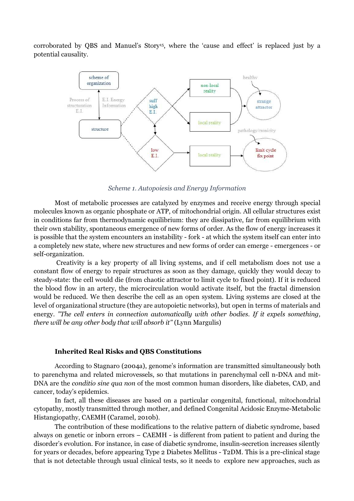corroborated by QBS and Manuel's Story<sup>15</sup>, where the 'cause and effect' is replaced just by a potential causality.



Scheme 1. Autopoiesis and Energy Information

Most of metabolic processes are catalyzed by enzymes and receive energy through special molecules known as organic phosphate or ATP, of mitochondrial origin. All cellular structures exist in conditions far from thermodynamic equilibrium: they are dissipative, far from equilibrium with their own stability, spontaneous emergence of new forms of order. As the flow of energy increases it is possible that the system encounters an instability - fork - at which the system itself can enter into a completely new state, where new structures and new forms of order can emerge - emergences - or self-organization.

 Creativity is a key property of all living systems, and if cell metabolism does not use a constant flow of energy to repair structures as soon as they damage, quickly they would decay to steady-state: the cell would die (from chaotic attractor to limit cycle to fixed point). If it is reduced the blood flow in an artery, the microcirculation would activate itself, but the fractal dimension would be reduced. We then describe the cell as an open system. Living systems are closed at the level of organizational structure (they are autopoietic networks), but open in terms of materials and energy. "The cell enters in connection automatically with other bodies. If it expels something, there will be any other body that will absorb it" (Lynn Margulis)

## Inherited Real Risks and QBS Constitutions

According to Stagnaro (2004a), genome's information are transmitted simultaneously both to parenchyma and related microvessels, so that mutations in parenchymal cell n-DNA and mit-DNA are the conditio sine qua non of the most common human disorders, like diabetes, CAD, and cancer, today's epidemics.

In fact, all these diseases are based on a particular congenital, functional, mitochondrial cytopathy, mostly transmitted through mother, and defined Congenital Acidosic Enzyme-Metabolic Histangiopathy, CAEMH (Caramel, 2010b).

The contribution of these modifications to the relative pattern of diabetic syndrome, based always on genetic or inborn errors – CAEMH - is different from patient to patient and during the disorder's evolution. For instance, in case of diabetic syndrome, insulin-secretion increases silently for years or decades, before appearing Type 2 Diabetes Mellitus - T2DM. This is a pre-clinical stage that is not detectable through usual clinical tests, so it needs to explore new approaches, such as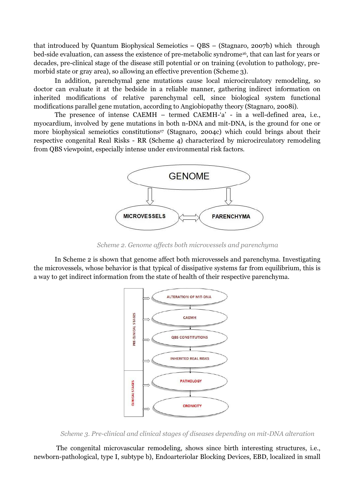that introduced by Quantum Biophysical Semeiotics – QBS – (Stagnaro, 2007b) which through bed-side evaluation, can assess the existence of pre-metabolic syndrome<sup>16</sup>, that can last for years or decades, pre-clinical stage of the disease still potential or on training (evolution to pathology, premorbid state or gray area), so allowing an effective prevention (Scheme 3).

In addition, parenchymal gene mutations cause local microcirculatory remodeling, so doctor can evaluate it at the bedside in a reliable manner, gathering indirect information on inherited modifications of relative parenchymal cell, since biological system functional modifications parallel gene mutation, according to Angiobiopathy theory (Stagnaro, 2008i).

The presence of intense CAEMH – termed CAEMH-'a' - in a well-defined area, i.e., myocardium, involved by gene mutations in both n-DNA and mit-DNA, is the ground for one or more biophysical semeiotics constitutions<sup>17</sup> (Stagnaro, 2004c) which could brings about their respective congenital Real Risks - RR (Scheme 4) characterized by microcirculatory remodeling from QBS viewpoint, especially intense under environmental risk factors.



Scheme 2. Genome affects both microvessels and parenchyma

In Scheme 2 is shown that genome affect both microvessels and parenchyma. Investigating the microvessels, whose behavior is that typical of dissipative systems far from equilibrium, this is a way to get indirect information from the state of health of their respective parenchyma.



Scheme 3. Pre-clinical and clinical stages of diseases depending on mit-DNA alteration

 The congenital microvascular remodeling, shows since birth interesting structures, i.e., newborn-pathological, type I, subtype b), Endoarteriolar Blocking Devices, EBD, localized in small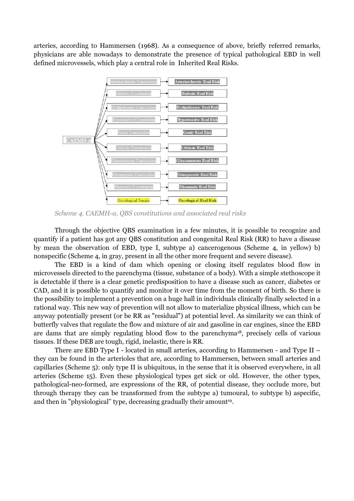arteries, according to Hammersen (1968). As a consequence of above, briefly referred remarks, physicians are able nowadays to demonstrate the presence of typical pathological EBD in well defined microvessels, which play a central role in Inherited Real Risks.



Scheme 4. CAEMH-α, QBS constitutions and associated real risks

Through the objective QBS examination in a few minutes, it is possible to recognize and quantify if a patient has got any QBS constitution and congenital Real Risk (RR) to have a disease by mean the observation of EBD, type I, subtype a) cancerogenous (Scheme 4, in yellow) b) nonspecific (Scheme 4, in gray, present in all the other more frequent and severe disease).

The EBD is a kind of dam which opening or closing itself regulates blood flow in microvessels directed to the parenchyma (tissue, substance of a body). With a simple stethoscope it is detectable if there is a clear genetic predisposition to have a disease such as cancer, diabetes or CAD, and it is possible to quantify and monitor it over time from the moment of birth. So there is the possibility to implement a prevention on a huge hall in individuals clinically finally selected in a rational way. This new way of prevention will not allow to materialize physical illness, which can be anyway potentially present (or be RR as "residual") at potential level. As similarity we can think of butterfly valves that regulate the flow and mixture of air and gasoline in car engines, since the EBD are dams that are simply regulating blood flow to the parenchyma<sup>18</sup>, precisely cells of various tissues. If these DEB are tough, rigid, inelastic, there is RR.

There are EBD Type I - located in small arteries, according to Hammersen - and Type II – they can be found in the arterioles that are, according to Hammersen, between small arteries and capillaries (Scheme 5): only type II is ubiquitous, in the sense that it is observed everywhere, in all arteries (Scheme 15). Even these physiological types get sick or old. However, the other types, pathological-neo-formed, are expressions of the RR, of potential disease, they occlude more, but through therapy they can be transformed from the subtype a) tumoural, to subtype b) aspecific, and then in "physiological" type, decreasing gradually their amount 19 .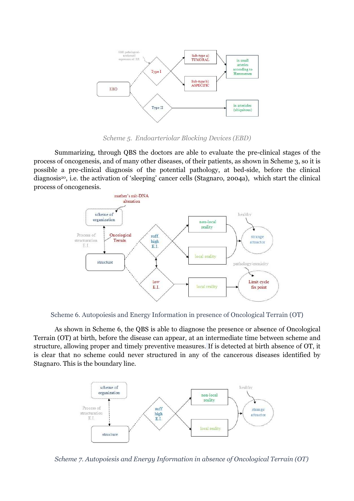

Scheme 5. Endoarteriolar Blocking Devices (EBD)

Summarizing, through QBS the doctors are able to evaluate the pre-clinical stages of the process of oncogenesis, and of many other diseases, of their patients, as shown in Scheme 3, so it is possible a pre-clinical diagnosis of the potential pathology, at bed-side, before the clinical diagnosis<sup>20</sup>, i.e. the activation of 'sleeping' cancer cells (Stagnaro, 2004a), which start the clinical process of oncogenesis.



Scheme 6. Autopoiesis and Energy Information in presence of Oncological Terrain (OT)

As shown in Scheme 6, the QBS is able to diagnose the presence or absence of Oncological Terrain (OT) at birth, before the disease can appear, at an intermediate time between scheme and structure, allowing proper and timely preventive measures. If is detected at birth absence of OT, it is clear that no scheme could never structured in any of the cancerous diseases identified by Stagnaro. This is the boundary line.



Scheme 7. Autopoiesis and Energy Information in absence of Oncological Terrain (OT)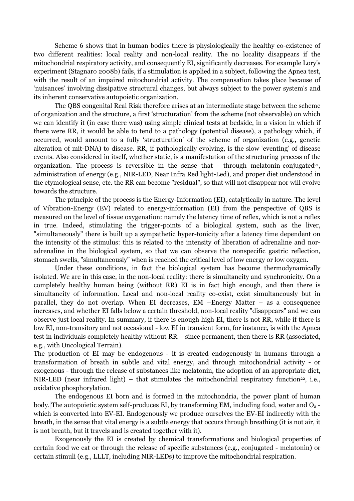Scheme 6 shows that in human bodies there is physiologically the healthy co-existence of two different realities: local reality and non-local reality. The no locality disappears if the mitochondrial respiratory activity, and consequently EI, significantly decreases. For example Lory's experiment (Stagnaro 2008b) fails, if a stimulation is applied in a subject, following the Apnea test, with the result of an impaired mitochondrial activity. The compensation takes place because of 'nuisances' involving dissipative structural changes, but always subject to the power system's and its inherent conservative autopoietic organization.

The QBS congenital Real Risk therefore arises at an intermediate stage between the scheme of organization and the structure, a first 'structuration' from the scheme (not observable) on which we can identify it (in case there was) using simple clinical tests at bedside, in a vision in which if there were RR, it would be able to tend to a pathology (potential disease), a pathology which, if occurred, would amount to a fully 'structuration' of the scheme of organization (e.g., genetic alteration of mit-DNA) to disease. RR, if pathologically evolving, is the slow 'eventing' of disease events. Also considered in itself, whether static, is a manifestation of the structuring process of the organization. The process is reversible in the sense that - through melatonin-conjugated<sup>21</sup>, administration of energy (e.g., NIR-LED, Near Infra Red light-Led), and proper diet understood in the etymological sense, etc. the RR can become "residual", so that will not disappear nor will evolve towards the structure.

The principle of the process is the Energy-Information (EI), catalytically in nature. The level of Vibration-Energy (EV) related to energy-information (EI) from the perspective of QBS is measured on the level of tissue oxygenation: namely the latency time of reflex, which is not a reflex in true. Indeed, stimulating the trigger-points of a biological system, such as the liver, "simultaneously" there is built up a sympathetic hyper-tonicity after a latency time dependent on the intensity of the stimulus: this is related to the intensity of liberation of adrenaline and noradrenaline in the biological system, so that we can observe the nonspecific gastric reflection, stomach swells, "simultaneously" when is reached the critical level of low energy or low oxygen.

 Under these conditions, in fact the biological system has become thermodynamically isolated. We are in this case, in the non-local reality: there is simultaneity and synchronicity. On a completely healthy human being (without RR) EI is in fact high enough, and then there is simultaneity of information. Local and non-local reality co-exist, exist simultaneously but in parallel, they do not overlap. When EI decreases, EM –Energy Matter – as a consequence increases, and whether EI falls below a certain threshold, non-local reality "disappears" and we can observe just local reality. In summary, if there is enough high EI, there is not RR, while if there is low EI, non-transitory and not occasional - low EI in transient form, for instance, is with the Apnea test in individuals completely healthy without RR – since permanent, then there is RR (associated, e.g., with Oncological Terrain).

The production of EI may be endogenous - it is created endogenously in humans through a transformation of breath in subtle and vital energy, and through mitochondrial activity - or exogenous - through the release of substances like melatonin, the adoption of an appropriate diet, NIR-LED (near infrared light) – that stimulates the mitochondrial respiratory function<sup>22</sup>, i.e., oxidative phosphorylation.

The endogenous EI born and is formed in the mitochondria, the power plant of human body. The autopoietic system self-produces EI, by transforming EM, including food, water and  $O_2$ which is converted into EV-EI. Endogenously we produce ourselves the EV-EI indirectly with the breath, in the sense that vital energy is a subtle energy that occurs through breathing (it is not air, it is not breath, but it travels and is created together with it).

Exogenously the EI is created by chemical transformations and biological properties of certain food we eat or through the release of specific substances (e.g., conjugated - melatonin) or certain stimuli (e.g., LLLT, including NIR-LEDs) to improve the mitochondrial respiration.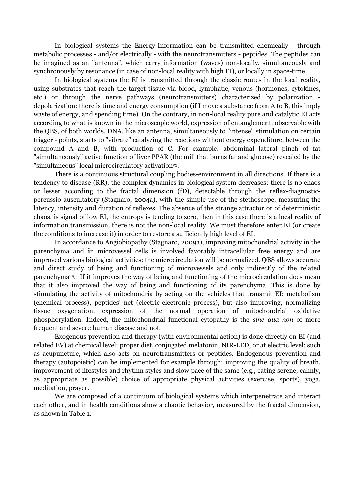In biological systems the Energy-Information can be transmitted chemically - through metabolic processes - and/or electrically - with the neurotransmitters - peptides. The peptides can be imagined as an "antenna", which carry information (waves) non-locally, simultaneously and synchronously by resonance (in case of non-local reality with high EI), or locally in space-time.

In biological systems the EI is transmitted through the classic routes in the local reality, using substrates that reach the target tissue via blood, lymphatic, venous (hormones, cytokines, etc.) or through the nerve pathways (neurotransmitters) characterized by polarization depolarization: there is time and energy consumption (if I move a substance from A to B, this imply waste of energy, and spending time). On the contrary, in non-local reality pure and catalytic EI acts according to what is known in the microscopic world, expression of entanglement, observable with the QBS, of both worlds. DNA, like an antenna, simultaneously to "intense" stimulation on certain trigger - points, starts to "vibrate" catalyzing the reactions without energy expenditure, between the compound A and B, with production of C. For example: abdominal lateral pinch of fat "simultaneously" active function of liver PPAR (the mill that burns fat and glucose) revealed by the "simultaneous" local microcirculatory activation<sup>23</sup>.

There is a continuous structural coupling bodies-environment in all directions. If there is a tendency to disease (RR), the complex dynamics in biological system decreases: there is no chaos or lesser according to the fractal dimension (fD), detectable through the reflex-diagnosticpercussio-auscultatory (Stagnaro, 2004a), with the simple use of the stethoscope, measuring the latency, intensity and duration of reflexes. The absence of the strange attractor or of deterministic chaos, is signal of low EI, the entropy is tending to zero, then in this case there is a local reality of information transmission, there is not the non-local reality. We must therefore enter EI (or create the conditions to increase it) in order to restore a sufficiently high level of EI.

In accordance to Angiobiopathy (Stagnaro, 2009a), improving mitochondrial activity in the parenchyma and in microvessel cells is involved favorably intracellular free energy and are improved various biological activities: the microcirculation will be normalized. QBS allows accurate and direct study of being and functioning of microvessels and only indirectly of the related parenchyma<sup>24</sup>. If it improves the way of being and functioning of the microcirculation does mean that it also improved the way of being and functioning of its parenchyma. This is done by stimulating the activity of mitochondria by acting on the vehicles that transmit EI: metabolism (chemical process), peptides' net (electric-electronic process), but also improving, normalizing tissue oxygenation, expression of the normal operation of mitochondrial oxidative phosphorylation. Indeed, the mitochondrial functional cytopathy is the sine qua non of more frequent and severe human disease and not.

Exogenous prevention and therapy (with environmental action) is done directly on EI (and related EV) at chemical level: proper diet, conjugated melatonin, NIR-LED, or at electric level: such as acupuncture, which also acts on neurotransmitters or peptides. Endogenous prevention and therapy (autopoietic) can be implemented for example through: improving the quality of breath, improvement of lifestyles and rhythm styles and slow pace of the same (e.g., eating serene, calmly, as appropriate as possible) choice of appropriate physical activities (exercise, sports), yoga, meditation, prayer.

We are composed of a continuum of biological systems which interpenetrate and interact each other, and in health conditions show a chaotic behavior, measured by the fractal dimension, as shown in Table 1.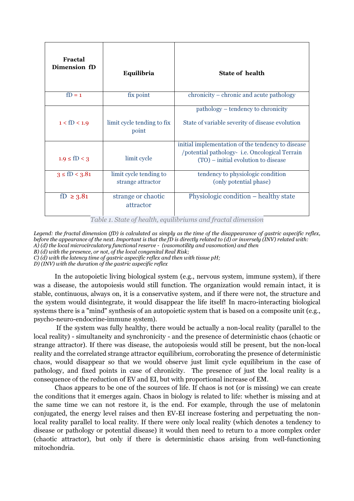| Fractal<br>Dimension fD | Equilibria                                  | State of health                                                                                                                           |  |  |
|-------------------------|---------------------------------------------|-------------------------------------------------------------------------------------------------------------------------------------------|--|--|
| $fD = 1$                | fix point                                   | chronicity – chronic and acute pathology                                                                                                  |  |  |
| $1 <$ fD $< 1.9$        | limit cycle tending to fix<br>point         | pathology – tendency to chronicity<br>State of variable severity of disease evolution                                                     |  |  |
| $1.9 \le fD < 3$        | limit cycle                                 | initial implementation of the tendency to disease<br>/potential pathology-i.e. Oncological Terrain<br>(TO) – initial evolution to disease |  |  |
| $3 \le fD < 3.81$       | limit cycle tending to<br>strange attractor | tendency to physiologic condition<br>(only potential phase)                                                                               |  |  |
| fD $\geq$ 3.81          | strange or chaotic<br>attractor             | Physiologic condition – healthy state                                                                                                     |  |  |

Table 1. State of health, equilibriums and fractal dimension

*Legend: the fractal dimension (fD) is calculated as simply as the time of the disappearance of gastric aspecific reflex, before the appearance of the next. Important is that the fD is directly related to (d) or inversely (INV) related with: A) (d) the local microcirculatory functional reserve - (vasomotility and vasomotion) and then* 

*B) (d) with the presence, or not, of the local congenital Real Risk;*

*C) (d) with the latency time of gastric aspecific reflex and then with tissue pH;* 

*D) (INV) with the duration of the gastric aspecific reflex* 

In the autopoietic living biological system (e.g., nervous system, immune system), if there was a disease, the autopoiesis would still function. The organization would remain intact, it is stable, continuous, always on, it is a conservative system, and if there were not, the structure and the system would disintegrate, it would disappear the life itself! In macro-interacting biological systems there is a "mind" synthesis of an autopoietic system that is based on a composite unit (e.g., psycho-neuro-endocrine-immune system).

 If the system was fully healthy, there would be actually a non-local reality (parallel to the local reality) - simultaneity and synchronicity - and the presence of deterministic chaos (chaotic or strange attractor). If there was disease, the autopoiesis would still be present, but the non-local reality and the correlated strange attractor equilibrium, corroborating the presence of deterministic chaos, would disappear so that we would observe just limit cycle equilibrium in the case of pathology, and fixed points in case of chronicity. The presence of just the local reality is a consequence of the reduction of EV and EI, but with proportional increase of EM.

Chaos appears to be one of the sources of life. If chaos is not (or is missing) we can create the conditions that it emerges again. Chaos in biology is related to life: whether is missing and at the same time we can not restore it, is the end. For example, through the use of melatonin conjugated, the energy level raises and then EV-EI increase fostering and perpetuating the nonlocal reality parallel to local reality. If there were only local reality (which denotes a tendency to disease or pathology or potential disease) it would then need to return to a more complex order (chaotic attractor), but only if there is deterministic chaos arising from well-functioning mitochondria.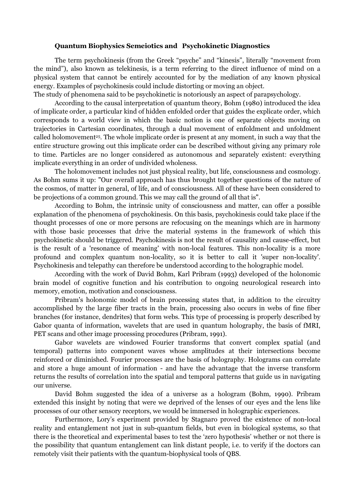# Quantum Biophysics Semeiotics and Psychokinetic Diagnostics

The term psychokinesis (from the Greek "psyche" and "kinesis", literally "movement from the mind"), also known as telekinesis, is a term referring to the direct influence of mind on a physical system that cannot be entirely accounted for by the mediation of any known physical energy. Examples of psychokinesis could include distorting or moving an object.

The study of phenomena said to be psychokinetic is notoriously an aspect of parapsychology.

According to the causal interpretation of quantum theory, Bohm (1980) introduced the idea of implicate order, a particular kind of hidden enfolded order that guides the explicate order, which corresponds to a world view in which the basic notion is one of separate objects moving on trajectories in Cartesian coordinates, through a dual movement of enfoldment and unfoldment called holomovement<sup>25</sup>. The whole implicate order is present at any moment, in such a way that the entire structure growing out this implicate order can be described without giving any primary role to time. Particles are no longer considered as autonomous and separately existent: everything implicate everything in an order of undivided wholeness.

The holomovement includes not just physical reality, but life, consciousness and cosmology. As Bohm sums it up: "Our overall approach has thus brought together questions of the nature of the cosmos, of matter in general, of life, and of consciousness. All of these have been considered to be projections of a common ground. This we may call the ground of all that is".

According to Bohm, the intrinsic unity of consciousness and matter, can offer a possible explanation of the phenomena of psychokinesis. On this basis, psychokinesis could take place if the thought processes of one or more persons are refocusing on the meanings which are in harmony with those basic processes that drive the material systems in the framework of which this psychokinetic should be triggered. Psychokinesis is not the result of causality and cause-effect, but is the result of a 'resonance of meaning' with non-local features. This non-locality is a more profound and complex quantum non-locality, so it is better to call it 'super non-locality'. Psychokinesis and telepathy can therefore be understood according to the holographic model.

According with the work of David Bohm, Karl Pribram (1993) developed of the holonomic brain model of cognitive function and his contribution to ongoing neurological research into memory, emotion, motivation and consciousness.

Pribram's holonomic model of brain processing states that, in addition to the circuitry accomplished by the large fiber tracts in the brain, processing also occurs in webs of fine fiber branches (for instance, dendrites) that form webs. This type of processing is properly described by Gabor quanta of information, wavelets that are used in quantum holography, the basis of fMRI, PET scans and other image processing procedures (Pribram, 1991).

Gabor wavelets are windowed Fourier transforms that convert complex spatial (and temporal) patterns into component waves whose amplitudes at their intersections become reinforced or diminished. Fourier processes are the basis of holography. Holograms can correlate and store a huge amount of information - and have the advantage that the inverse transform returns the results of correlation into the spatial and temporal patterns that guide us in navigating our universe.

David Bohm suggested the idea of a universe as a hologram (Bohm, 1990). Pribram extended this insight by noting that were we deprived of the lenses of our eyes and the lens like processes of our other sensory receptors, we would be immersed in holographic experiences.

Furthermore, Lory's experiment provided by Stagnaro proved the existence of non-local reality and entanglement not just in sub-quantum fields, but even in biological systems, so that there is the theoretical and experimental bases to test the 'zero hypothesis' whether or not there is the possibility that quantum entanglement can link distant people, i.e. to verify if the doctors can remotely visit their patients with the quantum-biophysical tools of QBS.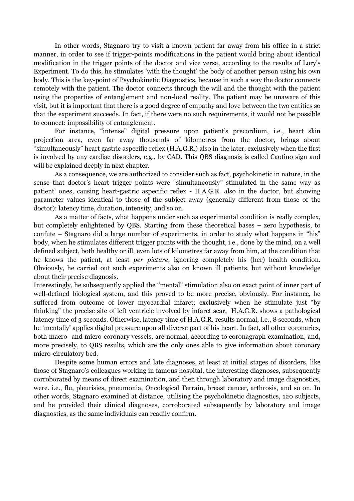In other words, Stagnaro try to visit a known patient far away from his office in a strict manner, in order to see if trigger-points modifications in the patient would bring about identical modification in the trigger points of the doctor and vice versa, according to the results of Lory's Experiment. To do this, he stimulates 'with the thought' the body of another person using his own body. This is the key-point of Psychokinetic Diagnostics, because in such a way the doctor connects remotely with the patient. The doctor connects through the will and the thought with the patient using the properties of entanglement and non-local reality. The patient may be unaware of this visit, but it is important that there is a good degree of empathy and love between the two entities so that the experiment succeeds. In fact, if there were no such requirements, it would not be possible to connect: impossibility of entanglement.

For instance, "intense" digital pressure upon patient's precordium, i.e., heart skin projection area, even far away thousands of kilometres from the doctor, brings about "simultaneously" heart gastric aspecific reflex (H.A.G.R.) also in the later, exclusively when the first is involved by any cardiac disorders, e.g., by CAD. This QBS diagnosis is called Caotino sign and will be explained deeply in next chapter.

As a consequence, we are authorized to consider such as fact, psychokinetic in nature, in the sense that doctor's heart trigger points were "simultaneously" stimulated in the same way as patient' ones, causing heart-gastric aspecific reflex - H.A.G.R. also in the doctor, but showing parameter values identical to those of the subject away (generally different from those of the doctor): latency time, duration, intensity, and so on.

As a matter of facts, what happens under such as experimental condition is really complex, but completely enlightened by QBS. Starting from these theoretical bases – zero hypothesis, to confute – Stagnaro did a large number of experiments, in order to study what happens in "his" body, when he stimulates different trigger points with the thought, i.e., done by the mind, on a well defined subject, both healthy or ill, even lots of kilometres far away from him, at the condition that he knows the patient, at least per picture, ignoring completely his (her) health condition. Obviously, he carried out such experiments also on known ill patients, but without knowledge about their precise diagnosis.

Interestingly, he subsequently applied the "mental" stimulation also on exact point of inner part of well-defined biological system, and this proved to be more precise, obviously. For instance, he suffered from outcome of lower myocardial infarct; exclusively when he stimulate just "by thinking" the precise site of left ventricle involved by infarct scar, H.A.G.R. shows a pathological latency time of 3 seconds. Otherwise, latency time of H.A.G.R. results normal, i.e., 8 seconds, when he 'mentally' applies digital pressure upon all diverse part of his heart. In fact, all other coronaries, both macro- and micro-coronary vessels, are normal, according to coronagraph examination, and, more precisely, to QBS results, which are the only ones able to give information about coronary micro-circulatory bed.

Despite some human errors and late diagnoses, at least at initial stages of disorders, like those of Stagnaro's colleagues working in famous hospital, the interesting diagnoses, subsequently corroborated by means of direct examination, and then through laboratory and image diagnostics, were. i.e., flu, pleurisies, pneumonia, Oncological Terrain, breast cancer, arthrosis, and so on. In other words, Stagnaro examined at distance, utilising the psychokinetic diagnostics, 120 subjects, and he provided their clinical diagnoses, corroborated subsequently by laboratory and image diagnostics, as the same individuals can readily confirm.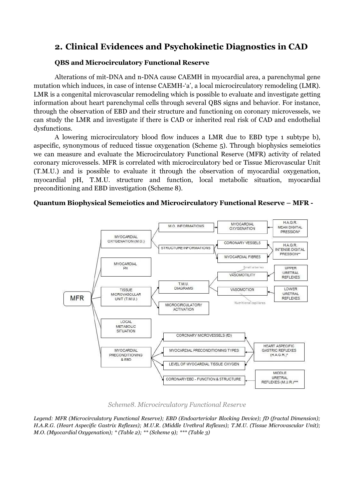# 2. Clinical Evidences and Psychokinetic Diagnostics in CAD

# QBS and Microcirculatory Functional Reserve

Alterations of mit-DNA and n-DNA cause CAEMH in myocardial area, a parenchymal gene mutation which induces, in case of intense CAEMH-'a', a local microcirculatory remodeling (LMR). LMR is a congenital microvascular remodeling which is possible to evaluate and investigate getting information about heart parenchymal cells through several QBS signs and behavior. For instance, through the observation of EBD and their structure and functioning on coronary microvessels, we can study the LMR and investigate if there is CAD or inherited real risk of CAD and endothelial dysfunctions.

A lowering microcirculatory blood flow induces a LMR due to EBD type 1 subtype b), aspecific, synonymous of reduced tissue oxygenation (Scheme 5). Through biophysics semeiotics we can measure and evaluate the Microcirculatory Functional Reserve (MFR) activity of related coronary microvessels. MFR is correlated with microcirculatory bed or Tissue Microvascular Unit (T.M.U.) and is possible to evaluate it through the observation of myocardial oxygenation, myocardial pH, T.M.U. structure and function, local metabolic situation, myocardial preconditioning and EBD investigation (Scheme 8).

# Quantum Biophysical Semeiotics and Microcirculatory Functional Reserve – MFR -



Scheme8. Microcirculatory Functional Reserve

*Legend: MFR (Microcirculatory Functional Reserve); EBD (Endoarteriolar Blocking Device); fD (fractal Dimension); H.A.R.G. (Heart Aspecific Gastrix Reflexes); M.U.R. (Middle Urethral Reflexes); T.M.U. (Tissue Microvascular Unit); M.O. (Myocardial Oxygenation); \* (Table 2); \*\* (Scheme 9); \*\*\* (Table 3)*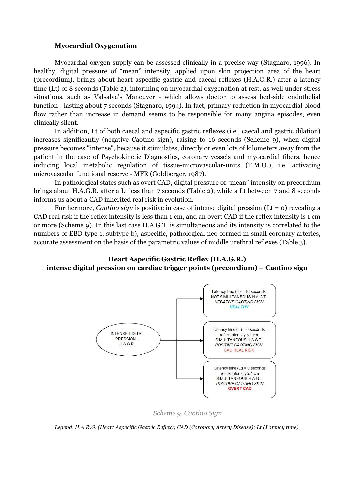#### Myocardial Oxygenation

Myocardial oxygen supply can be assessed clinically in a precise way (Stagnaro, 1996). In healthy, digital pressure of "mean" intensity, applied upon skin projection area of the heart (precordium), brings about heart aspecific gastric and caecal reflexes (H.A.G.R.) after a latency time (Lt) of 8 seconds (Table 2), informing on myocardial oxygenation at rest, as well under stress situations, such as Valsalva's Maneuver - which allows doctor to assess bed-side endothelial function - lasting about 7 seconds (Stagnaro, 1994). In fact, primary reduction in myocardial blood flow rather than increase in demand seems to be responsible for many angina episodes, even clinically silent.

In addition, Lt of both caecal and aspecific gastric reflexes (i.e., caecal and gastric dilation) increases significantly (negative Caotino sign), raising to 16 seconds (Scheme 9), when digital pressure becomes "intense", because it stimulates, directly or even lots of kilometers away from the patient in the case of Psychokinetic Diagnostics, coronary vessels and myocardial fibers, hence inducing local metabolic regulation of tissue-microvascular-units (T.M.U.), i.e. activating microvascular functional reserve - MFR (Goldberger, 1987).

In pathological states such as overt CAD, digital pressure of "mean" intensity on precordium brings about H.A.G.R. after a Lt less than 7 seconds (Table 2), while a Lt between 7 and 8 seconds informs us about a CAD inherited real risk in evolution.

Furthermore, Caotino sign is positive in case of intense digital pression (Lt =  $o$ ) revealing a CAD real risk if the reflex intensity is less than 1 cm, and an overt CAD if the reflex intensity is 1 cm or more (Scheme 9). In this last case H.A.G.T. is simultaneous and its intensity is correlated to the numbers of EBD type 1, subtype b), aspecific, pathological neo-formed in small coronary arteries, accurate assessment on the basis of the parametric values of middle urethral reflexes (Table 3).

# Heart Aspecific Gastric Reflex (H.A.G.R.) intense digital pression on cardiac trigger points (precordium) – Caotino sign



Scheme 9. Caotino Sign

*Legend. H.A.R.G. (Heart Aspecific Gastric Reflex); CAD (Coronary Artery Disease); Lt (Latency time)*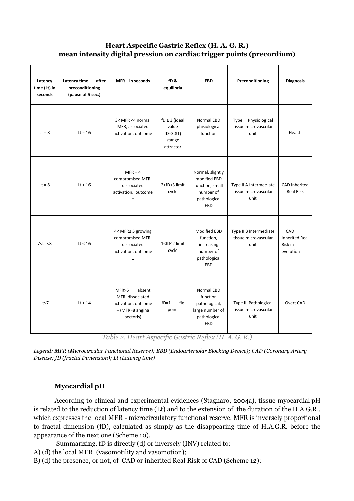# Heart Aspecific Gastric Reflex (H. A. G. R.) mean intensity digital pression on cardiac trigger points (precordium)

| Latency<br>time (Lt) in<br>seconds | Latency time<br>after<br>preconditioning<br>(pause of 5 sec.) | MFR in seconds                                                                                                          | fD <sub>&amp;</sub><br>equilibria                               | <b>EBD</b>                                                                                                            | Preconditioning                                                                  | <b>Diagnosis</b>                                     |
|------------------------------------|---------------------------------------------------------------|-------------------------------------------------------------------------------------------------------------------------|-----------------------------------------------------------------|-----------------------------------------------------------------------------------------------------------------------|----------------------------------------------------------------------------------|------------------------------------------------------|
| $Lt = 8$                           | $Lt = 16$                                                     | 3< MFR <4 normal<br>MFR, associated<br>activation, outcome<br>$\ddot{}$                                                 | $fD \geq 3$ (ideal<br>value<br>$fD=3.81$<br>stange<br>attractor | <b>Normal EBD</b><br>phisiological<br>function                                                                        | Type I Physiological<br>tissue microvascular<br>unit                             | Health                                               |
| $Lt = 8$                           | Lt < 16                                                       | $MFR = 4$<br>compromised MFR,<br>dissociated<br>activation, outcome<br>$\pm$                                            | 2 <fd<3 limit<br="">cycle</fd<3>                                | Normal, slightly<br>modified EBD<br>function, small<br>number of<br>pathological<br>EBD                               | Type II A Intermediate<br>tissue microvascular<br>unit                           | <b>CAD Inherited</b><br><b>Real Risk</b>             |
| 7 < Lt < 8                         | Lt < 16                                                       | 4< MFR≤ 5 growing<br>compromised MFR,<br>dissociated<br>activation, outcome<br>$\pm$                                    | 1 <fd≤2 limit<br="">cycle</fd≤2>                                | <b>Modified EBD</b><br>function,<br>increasing<br>number of<br>pathological<br>EBD                                    | Type II B Intermediate<br>tissue microvascular<br>unit                           | CAD<br><b>Inherited Real</b><br>Risk in<br>evolution |
| $Lt \leq 7$                        | Lt < 14<br>$-77$                                              | MFR>5<br>absent<br>MFR, dissociated<br>activation, outcome<br>$-$ (MFR $\approx$ 8 angina<br>pectoris)<br>$\sim$ $\sim$ | $fD=1$<br>fix<br>point<br>$\sim$ $\sim$                         | <b>Normal EBD</b><br>function<br>pathological,<br>large number of<br>pathological<br>EBD<br>Δ<br>$\sim$<br>$\sqrt{2}$ | <b>Type III Pathological</b><br>tissue microvascular<br>unit<br>$\sim$<br>$\sim$ | Overt CAD                                            |

Table 2. Heart Aspecific Gastric Reflex (H. A. G. R.)

*Legend: MFR (Microcircular Functional Reserve); EBD (Endoarteriolar Blocking Device); CAD (Coronary Artery Disease; fD (fractal Dimension); Lt (Latency time)* 

# Myocardial pH

According to clinical and experimental evidences (Stagnaro, 2004a), tissue myocardial pH is related to the reduction of latency time (Lt) and to the extension of the duration of the H.A.G.R., which expresses the local MFR - microcirculatory functional reserve. MFR is inversely proportional to fractal dimension (fD), calculated as simply as the disappearing time of H.A.G.R. before the appearance of the next one (Scheme 10).

Summarizing, fD is directly (d) or inversely (INV) related to:

- A) (d) the local MFR (vasomotility and vasomotion);
- B) (d) the presence, or not, of CAD or inherited Real Risk of CAD (Scheme 12);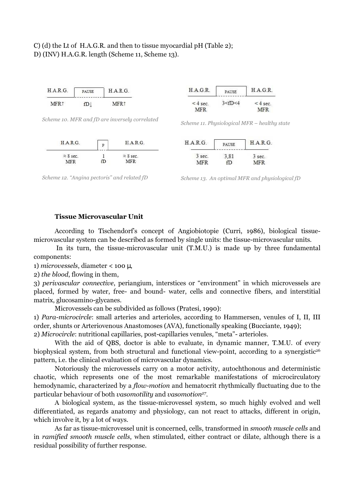# C) (d) the Lt of H.A.G.R. and then to tissue myocardial pH (Table 2); D) (INV) H.A.G.R. length (Scheme 11, Scheme 13).



*Scheme 10. MFR and fD are inversely correlated Scheme 11. Physiological MFR – healthy state* 







*Scheme 12. "Angina pectoris" and related fD Scheme 13. An optimal MFR and physiological fD* 

# Tissue Microvascular Unit

According to Tischendorf's concept of Angiobiotopie (Curri, 1986), biological tissuemicrovascular system can be described as formed by single units: the tissue-microvascular units.

 In its turn, the tissue-microvascular unit (T.M.U.) is made up by three fundamental components:

1) microvessels, diameter < 100 µ,

2) the blood, flowing in them,

3) perivascular connective, periangium, interstices or "environment" in which microvessels are placed, formed by water, free- and bound- water, cells and connective fibers, and interstitial matrix, glucosamino-glycanes.

Microvessels can be subdivided as follows (Pratesi, 1990):

1) Para-microcircle: small arteries and arterioles, according to Hammersen, venules of I, II, III order, shunts or Arteriovenous Anastomoses (AVA), functionally speaking (Bucciante, 1949);

2) Microcircle: nutritional capillaries, post-capillaries venules, "meta"- arterioles.

With the aid of QBS, doctor is able to evaluate, in dynamic manner, T.M.U. of every biophysical system, from both structural and functional view-point, according to a synergistic<sup>26</sup> pattern, i.e. the clinical evaluation of microvascular dynamics.

Notoriously the microvessels carry on a motor activity, autochthonous and deterministic chaotic, which represents one of the most remarkable manifestations of microcirculatory hemodynamic, characterized by a *flow-motion* and hematocrit rhythmically fluctuating due to the particular behaviour of both *vasomotility* and *vasomotion<sup>27</sup>.* 

A biological system, as the tissue-microvessel system, so much highly evolved and well differentiated, as regards anatomy and physiology, can not react to attacks, different in origin, which involve it, by a lot of ways.

As far as tissue-microvessel unit is concerned, cells, transformed in smooth muscle cells and in ramified smooth muscle cells, when stimulated, either contract or dilate, although there is a residual possibility of further response.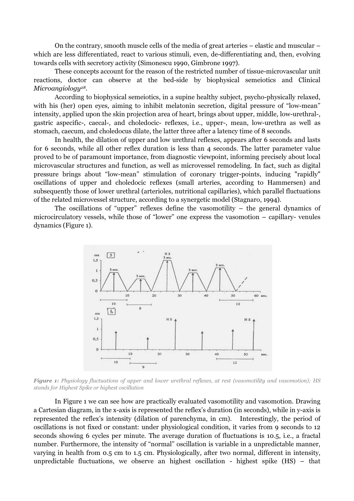On the contrary, smooth muscle cells of the media of great arteries – elastic and muscular – which are less differentiated, react to various stimuli, even, de-differentiating and, then, evolving towards cells with secretory activity (Simonescu 1990, Gimbrone 1997).

These concepts account for the reason of the restricted number of tissue-microvascular unit reactions, doctor can observe at the bed-side by biophysical semeiotics and Clinical  $Microangiology<sup>28</sup>$ .

According to biophysical semeiotics, in a supine healthy subject, psycho-physically relaxed, with his (her) open eyes, aiming to inhibit melatonin secretion, digital pressure of "low-mean" intensity, applied upon the skin projection area of heart, brings about upper, middle, low-urethral-, gastric aspecific-, caecal-, and choledocic- reflexes, i.e., upper-, mean, low-urethra as well as stomach, caecum, and choledocus dilate, the latter three after a latency time of 8 seconds.

In health, the dilation of upper and low urethral reflexes, appears after 6 seconds and lasts for 6 seconds, while all other reflex duration is less than 4 seconds. The latter parameter value proved to be of paramount importance, from diagnostic viewpoint, informing precisely about local microvascular structures and function, as well as microvessel remodeling. In fact, such as digital pressure brings about "low-mean" stimulation of coronary trigger-points, inducing "rapidly" oscillations of upper and choledocic reflexes (small arteries, according to Hammersen) and subsequently those of lower urethral (arterioles, nutritional capillaries), which parallel fluctuations of the related microvessel structure, according to a synergetic model (Stagnaro, 1994).

The oscillations of "upper" reflexes define the vasomotility – the general dynamics of microcirculatory vessels, while those of "lower" one express the vasomotion – capillary- venules dynamics (Figure 1).



Figure 1: *Physiology fluctuations of upper and lower urethral reflexes, at rest (vasomotility and vasomotion); HS stands for Highest Spike or highest oscillation* 

In Figure 1 we can see how are practically evaluated vasomotility and vasomotion. Drawing a Cartesian diagram, in the x-axis is represented the reflex's duration (in seconds), while in y-axis is represented the reflex's intensity (dilation of parenchyma, in cm). Interestingly, the period of oscillations is not fixed or constant: under physiological condition, it varies from 9 seconds to 12 seconds showing 6 cycles per minute. The average duration of fluctuations is 10.5, i.e., a fractal number. Furthermore, the intensity of "normal" oscillation is variable in a unpredictable manner, varying in health from 0.5 cm to 1.5 cm. Physiologically, after two normal, different in intensity, unpredictable fluctuations, we observe an highest oscillation - highest spike (HS) – that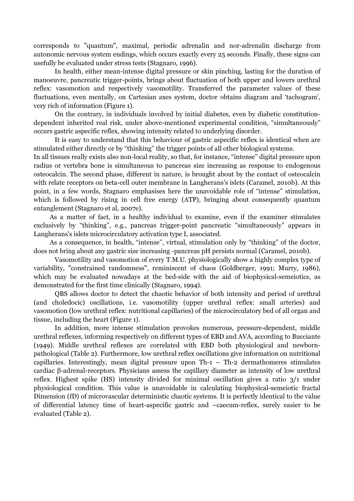corresponds to "quantum", maximal, periodic adrenalin and nor-adrenalin discharge from autonomic nervous system endings, which occurs exactly every 25 seconds. Finally, these signs can usefully be evaluated under stress tests (Stagnaro, 1996).

 In health, either mean-intense digital pressure or skin pinching, lasting for the duration of manoeuvre, pancreatic trigger-points, brings about fluctuation of both upper and lowers urethral reflex: vasomotion and respectively vasomotility. Transferred the parameter values of these fluctuations, even mentally, on Cartesian axes system, doctor obtains diagram and 'tachogram', very rich of information (Figure 1).

On the contrary, in individuals involved by initial diabetes, even by diabetic constitutiondependent inherited real risk, under above-mentioned experimental condition, "simultaneously" occurs gastric aspecific reflex, showing intensity related to underlying disorder.

It is easy to understand that this behaviour of gastric aspecific reflex is identical when are stimulated either directly or by "thinking" the trigger points of all other biological systems.

In all tissues really exists also non-local reality, so that, for instance, "intense" digital pressure upon radius or vertebra bone is simultaneous to pancreas size increasing as response to endogenous osteocalcin. The second phase, different in nature, is brought about by the contact of osteocalcin with relate receptors on beta-cell outer membrane in Langherans's islets (Caramel, 2010b). At this point, in a few words, Stagnaro emphasises here the unavoidable role of "intense" stimulation, which is followed by rising in cell free energy (ATP), bringing about consequently quantum entanglement (Stagnaro et al, 2007e).

 As a matter of fact, in a healthy individual to examine, even if the examiner stimulates exclusively by "thinking", e.g., pancreas trigger-point pancreatic "simultaneously" appears in Langherans's islets microcirculatory activation type I, associated.

 As a consequence, in health, "intense", virtual, stimulation only by "thinking" of the doctor, does not bring about any gastric size increasing -pancreas pH persists normal (Caramel, 2010b).

Vasomotility and vasomotion of every T.M.U. physiologically show a highly complex type of variability, "constrained randomness", reminiscent of chaos (Goldberger, 1991; Murry, 1986), which may be evaluated nowadays at the bed-side with the aid of biophysical-semeiotics, as demonstrated for the first time clinically (Stagnaro, 1994).

QBS allows doctor to detect the chaotic behavior of both intensity and period of urethral (and choledocic) oscillations, i.e. vasomotility (upper urethral reflex: small arteries) and vasomotion (low urethral reflex: nutritional capillaries) of the microcirculatory bed of all organ and tissue, including the heart (Figure 1).

In addition, more intense stimulation provokes numerous, pressure-dependent, middle urethral reflexes, informing respectively on different types of EBD and AVA, according to Bucciante (1949). Middle urethral reflexes are correlated with EBD both physiological and newbornpathological (Table 2). Furthermore, low urethral reflex oscillations give information on nutritional capillaries. Interestingly, mean digital pressure upon Th-1 – Th-2 dermathomeres stimulates cardiac β-adrenal-receptors. Physicians assess the capillary diameter as intensity of low urethral reflex. Highest spike (HS) intensity divided for minimal oscillation gives a ratio 3/1 under physiological condition. This value is unavoidable in calculating biophysical-semeiotic fractal Dimension (fD) of microvascular deterministic chaotic systems. It is perfectly identical to the value of differential latency time of heart-aspecific gastric and –caecum-reflex, surely easier to be evaluated (Table 2).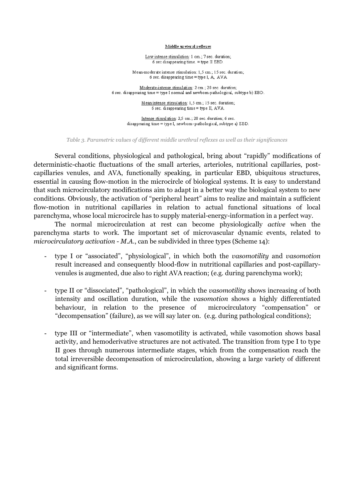#### Middle ureteral reflexes

Low intense stimulation: 1 cm.; 7 sec. duration; 6 sec disappearing time. = type II EBD.

Mean-moderate intense stimulation: 1,5 cm.; 15 sec. duration; 6 sec. disappearing time = type I, A, AVA

Moderate-intense stimulation: 2 cm.; 20 sec. duration; 6 sec. disappearing time = type I normal and newborn-pathological, subtype b) EBD.

> Mean intense stimulation: 1,5 cm.; 15 sec. duration; 6 sec. disappearing time = type II, AVA.

Intense stimulation: 2,5 cm.; 20 sec. duration; 6 sec. disappearing time = type I, newborn-pathological, subtype a) EBD.

*Table 3. Parametric values of different middle urethral reflexes as well as their significances* 

Several conditions, physiological and pathological, bring about "rapidly" modifications of deterministic-chaotic fluctuations of the small arteries, arterioles, nutritional capillaries, postcapillaries venules, and AVA, functionally speaking, in particular EBD, ubiquitous structures, essential in causing flow-motion in the microcircle of biological systems. It is easy to understand that such microcirculatory modifications aim to adapt in a better way the biological system to new conditions. Obviously, the activation of "peripheral heart" aims to realize and maintain a sufficient flow-motion in nutritional capillaries in relation to actual functional situations of local parenchyma, whose local microcircle has to supply material-energy-information in a perfect way.

The normal microcirculation at rest can become physiologically active when the parenchyma starts to work. The important set of microvascular dynamic events, related to microcirculatory activation - M.A., can be subdivided in three types (Scheme 14):

- **-** type I or "associated", "physiological", in which both the vasomotility and vasomotion result increased and consequently blood-flow in nutritional capillaries and post-capillaryvenules is augmented, due also to right AVA reaction; (e.g. during parenchyma work);
- **-** type II or "dissociated", "pathological", in which the vasomotility shows increasing of both intensity and oscillation duration, while the vasomotion shows a highly differentiated behaviour, in relation to the presence of microcirculatory "compensation" or "decompensation" (failure), as we will say later on. (e.g. during pathological conditions);
- **-** type III or "intermediate", when vasomotility is activated, while vasomotion shows basal activity, and hemoderivative structures are not activated. The transition from type I to type II goes through numerous intermediate stages, which from the compensation reach the total irreversible decompensation of microcirculation, showing a large variety of different and significant forms.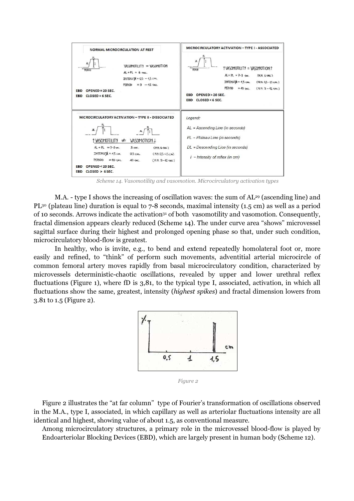

*Scheme 14. Vasomotility and vasomotion. Microcirculatory activation types* 

M.A. - type I shows the increasing of oscillation waves: the sum of AL<sup>29</sup> (ascending line) and PL<sup>30</sup> (plateau line) duration is equal to 7-8 seconds, maximal intensity (1.5 cm) as well as a period of 10 seconds. Arrows indicate the activation<sup>31</sup> of both vasomotility and vasomotion. Consequently, fractal dimension appears clearly reduced (Scheme 14). The under curve area "shows" microvessel sagittal surface during their highest and prolonged opening phase so that, under such condition, microcirculatory blood-flow is greatest.

In healthy, who is invite, e.g., to bend and extend repeatedly homolateral foot or, more easily and refined, to "think" of perform such movements, adventitial arterial microcircle of common femoral artery moves rapidly from basal microcirculatory condition, characterized by microvessels deterministic-chaotic oscillations, revealed by upper and lower urethral reflex fluctuations (Figure 1), where fD is 3,81, to the typical type I, associated, activation, in which all fluctuations show the same, greatest, intensity (highest spikes) and fractal dimension lowers from 3.81 to 1.5 (Figure 2).



*Figure 2* 

Figure 2 illustrates the "at far column" type of Fourier's transformation of oscillations observed in the M.A., type I, associated, in which capillary as well as arteriolar fluctuations intensity are all identical and highest, showing value of about 1.5, as conventional measure.

Among microcirculatory structures, a primary role in the microvessel blood-flow is played by Endoarteriolar Blocking Devices (EBD), which are largely present in human body (Scheme 12).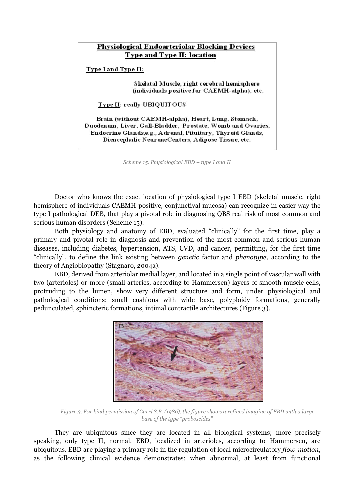# Physiological Endoarteriolar Blocking Devices Type and Type II: location Type I and Type II: Skelatal Muscle, right cerebral hemisphere (individuals positive for CAEMH-alpha), etc. Type II: really UBIQUITOUS Brain (without CAEMH-alpha), Heart, Lung, Stomach, Duodenum, Liver, Gall-Bladder, Prostate, Womb and Ovaries, Endocrine Glands, e.g., Adrenal, Pituitary, Thyroid Glands, Diencephalic NeuroneCenters, Adipose Tissue, etc.

*Scheme 15. Physiological EBD – type I and II* 

Doctor who knows the exact location of physiological type I EBD (skeletal muscle, right hemisphere of individuals CAEMH-positive, conjunctival mucosa) can recognize in easier way the type I pathological DEB, that play a pivotal role in diagnosing QBS real risk of most common and serious human disorders (Scheme 15).

Both physiology and anatomy of EBD, evaluated "clinically" for the first time, play a primary and pivotal role in diagnosis and prevention of the most common and serious human diseases, including diabetes, hypertension, ATS, CVD, and cancer, permitting, for the first time "clinically", to define the link existing between genetic factor and phenotype, according to the theory of Angiobiopathy (Stagnaro, 2004a).

EBD, derived from arteriolar medial layer, and located in a single point of vascular wall with two (arterioles) or more (small arteries, according to Hammersen) layers of smooth muscle cells, protruding to the lumen, show very different structure and form, under physiological and pathological conditions: small cushions with wide base, polyploidy formations, generally pedunculated, sphincteric formations, intimal contractile architectures (Figure 3).



*Figure 3. For kind permission of Curri S.B. (1986), the figure shows a refined imagine of EBD with a large base of the type "proboscides"* 

They are ubiquitous since they are located in all biological systems; more precisely speaking, only type II, normal, EBD, localized in arterioles, according to Hammersen, are ubiquitous. EBD are playing a primary role in the regulation of local microcirculatory flow-motion, as the following clinical evidence demonstrates: when abnormal, at least from functional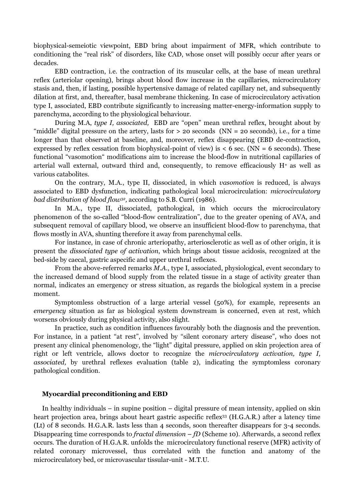biophysical-semeiotic viewpoint, EBD bring about impairment of MFR, which contribute to conditioning the "real risk" of disorders, like CAD, whose onset will possibly occur after years or decades.

EBD contraction, i.e. the contraction of its muscular cells, at the base of mean urethral reflex (arteriolar opening), brings about blood flow increase in the capillaries, microcirculatory stasis and, then, if lasting, possible hypertensive damage of related capillary net, and subsequently dilation at first, and, thereafter, basal membrane thickening. In case of microcirculatory activation type I, associated, EBD contribute significantly to increasing matter-energy-information supply to parenchyma, according to the physiological behaviour.

During M.A, type I, associated, EBD are "open" mean urethral reflex, brought about by "middle" digital pressure on the artery, lasts for  $>$  20 seconds (NN = 20 seconds), i.e., for a time longer than that observed at baseline, and, moreover, reflex disappearing (EBD de-contraction, expressed by reflex cessation from biophysical-point of view) is  $\lt 6$  sec. (NN = 6 seconds). These functional "vasomotion" modifications aim to increase the blood-flow in nutritional capillaries of arterial wall external, outward third and, consequently, to remove efficaciously  $H^+$  as well as various catabolites.

On the contrary, M.A., type II, dissociated, in which vasomotion is reduced, is always associated to EBD dysfunction, indicating pathological local microcirculation: microcirculatory *bad distribution of blood flow<sup>32</sup>,* according to S.B. Curri (1986).

In M.A., type II, dissociated, pathological, in which occurs the microcirculatory phenomenon of the so-called "blood-flow centralization", due to the greater opening of AVA, and subsequent removal of capillary blood, we observe an insufficient blood-flow to parenchyma, that flows mostly in AVA, shunting therefore it away from parenchymal cells.

For instance, in case of chronic arteriopathy, arteriosclerotic as well as of other origin, it is present the dissociated type of activation, which brings about tissue acidosis, recognized at the bed-side by caecal, gastric aspecific and upper urethral reflexes.

From the above-referred remarks M.A., type I, associated, physiological, event secondary to the increased demand of blood supply from the related tissue in a stage of activity greater than normal, indicates an emergency or stress situation, as regards the biological system in a precise moment.

 Symptomless obstruction of a large arterial vessel (50%), for example, represents an emergency situation as far as biological system downstream is concerned, even at rest, which worsens obviously during physical activity, also slight.

In practice, such as condition influences favourably both the diagnosis and the prevention. For instance, in a patient "at rest", involved by "silent coronary artery disease", who does not present any clinical phenomenology, the "light" digital pressure, applied on skin projection area of right or left ventricle, allows doctor to recognize the microcirculatory activation, type I, associated, by urethral reflexes evaluation (table 2), indicating the symptomless coronary pathological condition.

# Myocardial preconditioning and EBD

In healthy individuals – in supine position – digital pressure of mean intensity, applied on skin heart projection area, brings about heart gastric aspecific reflex<sup>33</sup> (H.G.A.R.) after a latency time (Lt) of 8 seconds. H.G.A.R. lasts less than 4 seconds, soon thereafter disappears for 3-4 seconds. Disappearing time corresponds to *fractal dimension – fD* (Scheme 10). Afterwards, a second reflex occurs. The duration of H.G.A.R. unfolds the microcirculatory functional reserve (MFR) activity of related coronary microvessel, thus correlated with the function and anatomy of the microcirculatory bed, or microvascular tissular-unit - M.T.U.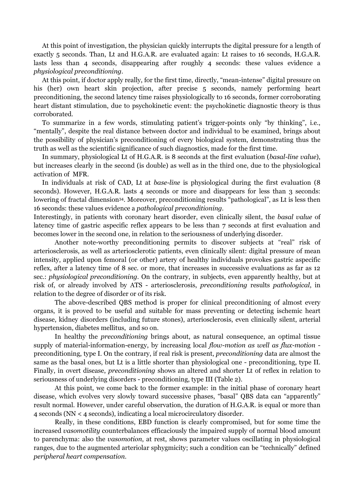At this point of investigation, the physician quickly interrupts the digital pressure for a length of exactly 5 seconds. Than, Lt and H.G.A.R. are evaluated again: Lt raises to 16 seconds, H.G.A.R. lasts less than 4 seconds, disappearing after roughly 4 seconds: these values evidence a physiological preconditioning.

At this point, if doctor apply really, for the first time, directly, "mean-intense" digital pressure on his (her) own heart skin projection, after precise 5 seconds, namely performing heart preconditioning, the second latency time raises physiologically to 16 seconds, former corroborating heart distant stimulation, due to psychokinetic event: the psychokinetic diagnostic theory is thus corroborated.

To summarize in a few words, stimulating patient's trigger-points only "by thinking", i.e., "mentally", despite the real distance between doctor and individual to be examined, brings about the possibility of physician's preconditioning of every biological system, demonstrating thus the truth as well as the scientific significance of such diagnostics, made for the first time.

In summary, physiological Lt of H.G.A.R. is 8 seconds at the first evaluation (basal-line value), but increases clearly in the second (is double) as well as in the third one, due to the physiological activation of MFR.

In individuals at risk of CAD, Lt at *base-line* is physiological during the first evaluation (8) seconds). However, H.G.A.R. lasts 4 seconds or more and disappears for less than 3 seconds: lowering of fractal dimension<sup>34</sup>. Moreover, preconditioning results "pathological", as Lt is less then 16 seconds: these values evidence a pathological preconditioning.

Interestingly, in patients with coronary heart disorder, even clinically silent, the basal value of latency time of gastric aspecific reflex appears to be less than 7 seconds at first evaluation and becomes lower in the second one, in relation to the seriousness of underlying disorder.

Another note-worthy preconditioning permits to discover subjects at "real" risk of arteriosclerosis, as well as arteriosclerotic patients, even clinically silent: digital pressure of mean intensity, applied upon femoral (or other) artery of healthy individuals provokes gastric aspecific reflex, after a latency time of 8 sec. or more, that increases in successive evaluations as far as 12 sec.: *physiological preconditioning*. On the contrary, in subjects, even apparently healthy, but at risk of, or already involved by ATS - arteriosclerosis, preconditioning results pathological, in relation to the degree of disorder or of its risk.

The above-described QBS method is proper for clinical preconditioning of almost every organs, it is proved to be useful and suitable for mass preventing or detecting ischemic heart disease, kidney disorders (including future stones), arteriosclerosis, even clinically silent, arterial hypertension, diabetes mellitus, and so on.

In healthy the preconditioning brings about, as natural consequence, an optimal tissue supply of material-information-energy, by increasing local flow-motion as well as flux-motion preconditioning, type I. On the contrary, if real risk is present, preconditioning data are almost the same as the basal ones, but Lt is a little shorter than physiological one - preconditioning, type II. Finally, in overt disease, preconditioning shows an altered and shorter Lt of reflex in relation to seriousness of underlying disorders - preconditioning, type III (Table 2).

At this point, we come back to the former example: in the initial phase of coronary heart disease, which evolves very slowly toward successive phases, "basal" QBS data can "apparently" result normal. However, under careful observation, the duration of H.G.A.R. is equal or more than 4 seconds (NN < 4 seconds), indicating a local microcirculatory disorder.

Really, in these conditions, EBD function is clearly compromised, but for some time the increased vasomotility counterbalances efficaciously the impaired supply of normal blood amount to parenchyma: also the vasomotion, at rest, shows parameter values oscillating in physiological ranges, due to the augmented arteriolar sphygmicity; such a condition can be "technically" defined peripheral heart compensation.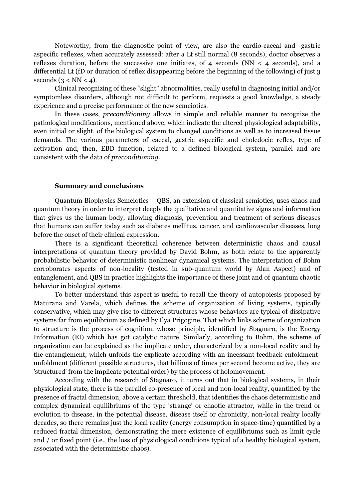Noteworthy, from the diagnostic point of view, are also the cardio-caecal and -gastric aspecific reflexes, when accurately assessed: after a Lt still normal (8 seconds), doctor observes a reflexes duration, before the successive one initiates, of 4 seconds  $(NN < 4$  seconds), and a differential Lt (fD or duration of reflex disappearing before the beginning of the following) of just 3 seconds  $(3 < NN < 4)$ .

Clinical recognizing of these "slight" abnormalities, really useful in diagnosing initial and/or symptomless disorders, although not difficult to perform, requests a good knowledge, a steady experience and a precise performance of the new semeiotics.

In these cases, preconditioning allows in simple and reliable manner to recognize the pathological modifications, mentioned above, which indicate the altered physiological adaptability, even initial or slight, of the biological system to changed conditions as well as to increased tissue demands. The various parameters of caecal, gastric aspecific and choledocic reflex, type of activation and, then, EBD function, related to a defined biological system, parallel and are consistent with the data of preconditioning.

## Summary and conclusions

Quantum Biophysics Semeiotics – QBS, an extension of classical semiotics, uses chaos and quantum theory in order to interpret deeply the qualitative and quantitative signs and information that gives us the human body, allowing diagnosis, prevention and treatment of serious diseases that humans can suffer today such as diabetes mellitus, cancer, and cardiovascular diseases, long before the onset of their clinical expression.

There is a significant theoretical coherence between deterministic chaos and causal interpretations of quantum theory provided by David Bohm, as both relate to the apparently probabilistic behavior of deterministic nonlinear dynamical systems. The interpretation of Bohm corroborates aspects of non-locality (tested in sub-quantum world by Alan Aspect) and of entanglement, and QBS in practice highlights the importance of these joint and of quantum chaotic behavior in biological systems.

To better understand this aspect is useful to recall the theory of autopoiesis proposed by Maturana and Varela, which defines the scheme of organization of living systems, typically conservative, which may give rise to different structures whose behaviors are typical of dissipative systems far from equilibrium as defined by Ilya Prigogine. That which links scheme of organization to structure is the process of cognition, whose principle, identified by Stagnaro, is the Energy Information (EI) which has got catalytic nature. Similarly, according to Bohm, the scheme of organization can be explained as the implicate order, characterized by a non-local reality and by the entanglement, which unfolds the explicate according with an incessant feedback enfoldmentunfoldment (different possible structures, that billions of times per second become active, they are 'structured' from the implicate potential order) by the process of holomovement.

According with the research of Stagnaro, it turns out that in biological systems, in their physiological state, there is the parallel co-presence of local and non-local reality, quantified by the presence of fractal dimension, above a certain threshold, that identifies the chaos deterministic and complex dynamical equilibriums of the type 'strange' or chaotic attractor, while in the trend or evolution to disease, in the potential disease, disease itself or chronicity, non-local reality locally decades, so there remains just the local reality (energy consumption in space-time) quantified by a reduced fractal dimension, demonstrating the mere existence of equilibriums such as limit cycle and / or fixed point (i.e., the loss of physiological conditions typical of a healthy biological system, associated with the deterministic chaos).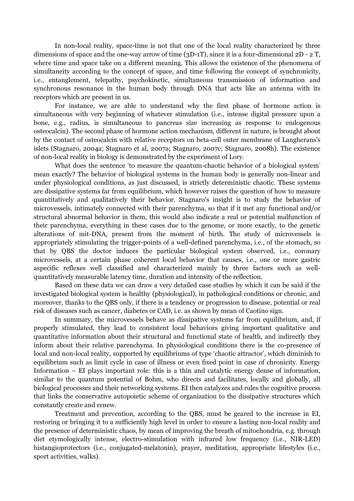In non-local reality, space-time is not that one of the local reality characterized by three dimensions of space and the one-way arrow of time (3D-1T), since it is a four-dimensional  $2D - 2T$ , where time and space take on a different meaning. This allows the existence of the phenomena of simultaneity according to the concept of space, and time following the concept of synchronicity, i.e., entanglement, telepathy, psychokinetic, simultaneous transmission of information and synchronous resonance in the human body through DNA that acts like an antenna with its receptors which are present in us.

For instance, we are able to understand why the first phase of hormone action is simultaneous with very beginning of whatever stimulation (i.e., intense digital pressure upon a bone, e.g., radius, is simultaneous to pancreas size increasing as response to endogenous osteocalcin). The second phase of hormone action mechanism, different in nature, is brought about by the contact of osteocalcin with relative receptors on beta-cell outer membrane of Langherans's islets (Stagnaro, 2004a; Stagnaro et al, 2007a; Stagnaro, 2007c; Stagnaro, 2008h). The existence of non-local reality in biology is demonstrated by the experiment of Lory.

What does the sentence 'to measure the quantum-chaotic behavior of a biological system' mean exactly? The behavior of biological systems in the human body is generally non-linear and under physiological conditions, as just discussed, is strictly deterministic chaotic. These systems are dissipative systems far from equilibrium, which however raises the question of how to measure quantitatively and qualitatively their behavior. Stagnaro's insight is to study the behavior of microvessels, intimately connected with their parenchyma, so that if it met any functional and/or structural abnormal behavior in them, this would also indicate a real or potential malfunction of their parenchyma, everything in these cases due to the genome, or more exactly, to the genetic alterations of mit-DNA, present from the moment of birth. The study of microvessels is appropriately stimulating the trigger-points of a well-defined parenchyma, i.e., of the stomach, so that by QBS the doctor induces the particular biological system observed, i.e., coronary microvessels, at a certain phase coherent local behavior that causes, i.e., one or more gastric aspecific reflexes well classified and characterized mainly by three factors such as wellquantitatively measurable latency time, duration and intensity of the reflection.

Based on these data we can draw a very detailed case studies by which it can be said if the investigated biological system is healthy (physiological), in pathological conditions or chronic, and moreover, thanks to the QBS only, if there is a tendency or progression to disease, potential or real risk of diseases such as cancer, diabetes or CAD, i.e. as shown by mean of Caotino sign.

In summary, the microvessels behave as dissipative systems far from equilibrium, and, if properly stimulated, they lead to consistent local behaviors giving important qualitative and quantitative information about their structural and functional state of health, and indirectly they inform about their relative parenchyma. In physiological conditions there is the co-presence of local and non-local reality, supported by equilibriums of type 'chaotic attractor', which diminish to equilibrium such as limit cycle in case of illness or even fixed point in case of chronicity. Energy Information – EI plays important role: this is a thin and catalytic energy dense of information, similar to the quantum potential of Bohm, who directs and facilitates, locally and globally, all biological processes and their networking systems. EI then catalyzes and rules the cognitive process that links the conservative autopoietic scheme of organization to the dissipative structures which constantly create and renew.

Treatment and prevention, according to the QBS, must be geared to the increase in EI, restoring or bringing it to a sufficiently high level in order to ensure a lasting non-local reality and the presence of deterministic chaos, by mean of improving the breath of mitochondria, e.g. through diet etymologically intense, electro-stimulation with infrared low frequency (i.e., NIR-LED) histangioprotectors (i.e., conjugated-melatonin), prayer, meditation, appropriate lifestyles (i.e., sport activities, walks).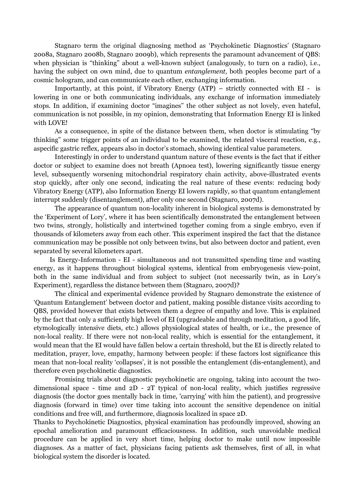Stagnaro term the original diagnosing method as 'Psychokinetic Diagnostics' (Stagnaro 2008a, Stagnaro 2008b, Stagnaro 2009b), which represents the paramount advancement of QBS: when physician is "thinking" about a well-known subject (analogously, to turn on a radio), i.e., having the subject on own mind, due to quantum entanglement, both peoples become part of a cosmic hologram, and can communicate each other, exchanging information.

Importantly, at this point, if Vibratory Energy (ATP) – strictly connected with EI - is lowering in one or both communicating individuals, any exchange of information immediately stops. In addition, if examining doctor "imagines" the other subject as not lovely, even hateful, communication is not possible, in my opinion, demonstrating that Information Energy EI is linked with LOVE!

As a consequence, in spite of the distance between them, when doctor is stimulating "by thinking" some trigger points of an individual to be examined, the related visceral reaction, e.g., aspecific gastric reflex, appears also in doctor's stomach, showing identical value parameters.

Interestingly in order to understand quantum nature of these events is the fact that if either doctor or subject to examine does not breath (Apnoea test), lowering significantly tissue energy level, subsequently worsening mitochondrial respiratory chain activity, above-illustrated events stop quickly, after only one second, indicating the real nature of these events: reducing body Vibratory Energy (ATP), also Information Energy EI lowers rapidly, so that quantum entanglement interrupt suddenly (disentanglement), after only one second (Stagnaro, 2007d).

The appearance of quantum non-locality inherent in biological systems is demonstrated by the 'Experiment of Lory', where it has been scientifically demonstrated the entanglement between two twins, strongly, holistically and intertwined together coming from a single embryo, even if thousands of kilometers away from each other. This experiment inspired the fact that the distance communication may be possible not only between twins, but also between doctor and patient, even separated by several kilometers apart.

 Is Energy-Information - EI - simultaneous and not transmitted spending time and wasting energy, as it happens throughout biological systems, identical from embryogenesis view-point, both in the same individual and from subject to subject (not necessarily twin, as in Lory's Experiment), regardless the distance between them (Stagnaro, 2007d)?

The clinical and experimental evidence provided by Stagnaro demonstrate the existence of 'Quantum Entanglement' between doctor and patient, making possible distance visits according to QBS, provided however that exists between them a degree of empathy and love. This is explained by the fact that only a sufficiently high level of EI (upgradeable and through meditation, a good life, etymologically intensive diets, etc.) allows physiological states of health, or i.e., the presence of non-local reality. If there were not non-local reality, which is essential for the entanglement, it would mean that the EI would have fallen below a certain threshold, but the EI is directly related to meditation, prayer, love, empathy, harmony between people: if these factors lost significance this mean that non-local reality 'collapses', it is not possible the entanglement (dis-entanglement), and therefore even psychokinetic diagnostics.

Promising trials about diagnostic psychokinetic are ongoing, taking into account the twodimensional space - time and 2D - 2T typical of non-local reality, which justifies regressive diagnosis (the doctor goes mentally back in time, 'carrying' with him the patient), and progressive diagnosis (forward in time) over time taking into account the sensitive dependence on initial conditions and free will, and furthermore, diagnosis localized in space 2D.

Thanks to Psychokinetic Diagnostics, physical examination has profoundly improved, showing an epochal amelioration and paramount efficaciousness. In addition, such unavoidable medical procedure can be applied in very short time, helping doctor to make until now impossible diagnoses. As a matter of fact, physicians facing patients ask themselves, first of all, in what biological system the disorder is located.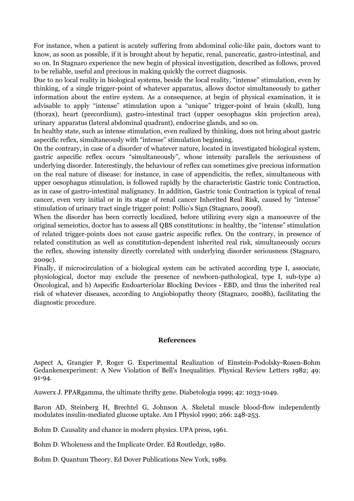For instance, when a patient is acutely suffering from abdominal colic-like pain, doctors want to know, as soon as possible, if it is brought about by hepatic, renal, pancreatic, gastro-intestinal, and so on. In Stagnaro experience the new begin of physical investigation, described as follows, proved to be reliable, useful and precious in making quickly the correct diagnosis.

Due to no local reality in biological systems, beside the local reality, "intense" stimulation, even by thinking, of a single trigger-point of whatever apparatus, allows doctor simultaneously to gather information about the entire system. As a consequence, at begin of physical examination, it is advisable to apply "intense" stimulation upon a "unique" trigger-point of brain (skull), lung (thorax), heart (precordium), gastro-intestinal tract (upper oesophagus skin projection area), urinary apparatus (lateral abdominal quadrant), endocrine glands, and so on.

In healthy state, such as intense stimulation, even realized by thinking, does not bring about gastric aspecific reflex, simultaneously with "intense" stimulation beginning.

On the contrary, in case of a disorder of whatever nature, located in investigated biological system, gastric aspecific reflex occurs "simultaneously", whose intensity parallels the seriousness of underlying disorder. Interestingly, the behaviour of reflex can sometimes give precious information on the real nature of disease: for instance, in case of appendicitis, the reflex, simultaneous with upper oesophagus stimulation, is followed rapidly by the characteristic Gastric tonic Contraction, as in case of gastro-intestinal malignancy. In addition, Gastric tonic Contraction is typical of renal cancer, even very initial or in its stage of renal cancer Inherited Real Risk, caused by "intense" stimulation of urinary tract single trigger point: Pollio's Sign (Stagnaro, 2009f).

When the disorder has been correctly localized, before utilizing every sign a manoeuvre of the original semeiotics, doctor has to assess all QBS constitutions: in healthy, the "intense" stimulation of related trigger-points does not cause gastric aspecific reflex. On the contrary, in presence of related constitution as well as constitution-dependent inherited real risk, simultaneously occurs the reflex, showing intensity directly correlated with underlying disorder seriousness (Stagnaro, 2009c).

Finally, if microcirculation of a biological system can be activated according type I, associate, physiological, doctor may exclude the presence of newborn-pathological, type I, sub-type a) Oncological, and b) Aspecific Endoarteriolar Blocking Devices - EBD, and thus the inherited real risk of whatever diseases, according to Angiobiopathy theory (Stagnaro, 2008h), facilitating the diagnostic procedure.

# References

Aspect A, Grangier P, Roger G. Experimental Realization of Einstein-Podolsky-Rosen-Bohm Gedankenexperiment: A New Violation of Bell's Inequalities. Physical Review Letters 1982; 49: 91-94.

Auwerx J. PPARgamma, the ultimate thrifty gene. Diabetologia 1999; 42: 1033-1049.

Baron AD, Steinberg H, Brechtel G, Johnson A. Skeletal muscle blood-flow independently modulates insulin-mediated glucose uptake. Am I Physiol 1990; 266: 248-253.

Bohm D. Causality and chance in modern physics. UPA press, 1961.

Bohm D. Wholeness and the Implicate Order. Ed Routledge, 1980.

Bohm D. Quantum Theory. Ed Dover Publications New York, 1989.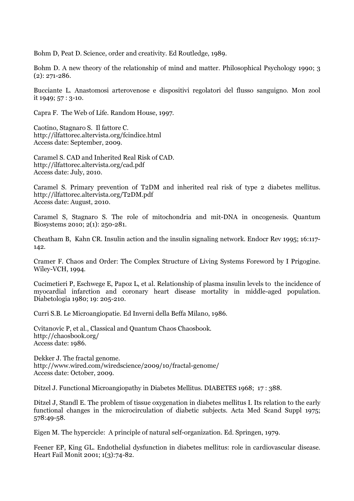Bohm D, Peat D. Science, order and creativity. Ed Routledge, 1989.

Bohm D. A new theory of the relationship of mind and matter. Philosophical Psychology 1990; 3 (2): 271-286.

Bucciante L. Anastomosi arterovenose e dispositivi regolatori del flusso sanguigno. Mon zool it 1949; 57 : 3-10.

Capra F. The Web of Life. Random House, 1997.

Caotino, Stagnaro S. Il fattore C. http://ilfattorec.altervista.org/fcindice.html Access date: September, 2009.

Caramel S. CAD and Inherited Real Risk of CAD. http://ilfattorec.altervista.org/cad.pdf Access date: July, 2010.

Caramel S. Primary prevention of T2DM and inherited real risk of type 2 diabetes mellitus. http://ilfattorec.altervista.org/T2DM.pdf Access date: August, 2010.

Caramel S, Stagnaro S. The role of mitochondria and mit-DNA in oncogenesis. Quantum Biosystems 2010; 2(1): 250-281.

Cheatham B, Kahn CR. Insulin action and the insulin signaling network. Endocr Rev 1995; 16:117- 142.

Cramer F. Chaos and Order: The Complex Structure of Living Systems Foreword by I Prigogine. Wiley-VCH, 1994.

Cucimetieri P, Eschwege E, Papoz L, et al. Relationship of plasma insulin levels to the incidence of myocardial infarction and coronary heart disease mortality in middle-aged population. Diabetologia 1980; 19: 205-210.

Curri S.B. Le Microangiopatie. Ed Inverni della Beffa Milano, 1986.

Cvitanovic P, et al., Classical and Quantum Chaos Chaosbook. http://chaosbook.org/ Access date: 1986.

Dekker J. The fractal genome. http://www.wired.com/wiredscience/2009/10/fractal-genome/ Access date: October, 2009.

Ditzel J. Functional Microangiopathy in Diabetes Mellitus. DIABETES 1968; 17 : 388.

Ditzel J, Standl E. The problem of tissue oxygenation in diabetes mellitus I. Its relation to the early functional changes in the microcirculation of diabetic subjects. Acta Med Scand Suppl 1975; 578:49-58.

Eigen M. The hypercicle: A principle of natural self-organization. Ed. Springen, 1979.

Feener EP, King GL. Endothelial dysfunction in diabetes mellitus: role in cardiovascular disease. Heart Fail Monit 2001; 1(3):74-82.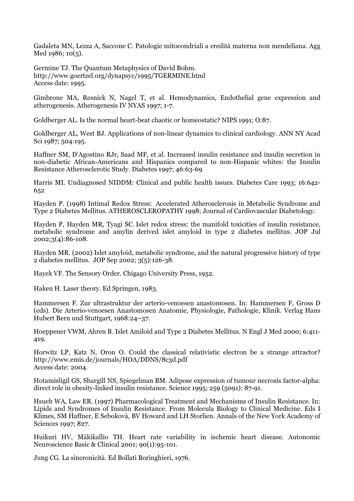Gadaleta MN, Lezza A, Saccone C. Patologie mitocondriali a eredità materna non mendeliana. Agg Med 1986; 10(5).

Germine TJ. The Quantum Metaphysics of David Bohm. http://www.goertzel.org/dynapsyc/1995/TGERMINE.html Access date: 1995.

Gimbrone MA, Resnick N, Nagel T, et al. Hemodynamics, Endothelial gene expression and atherogenesis. Atherogenesis IV NYAS 1997; 1-7.

Goldberger AL. Is the normal heart-beat chaotic or homeostatic? NIPS 1991; O:87.

Goldberger AL, West BJ. Applications of non-linear dynamics to clinical cardiology. ANN NY Acad Sci 1987; 504:195.

Haffner SM, D'Agostino RJr, Saad MF, et al. Increased insulin resistance and insulin secretion in non-diabetic African-Americans and Hispanics compared to non-Hispanic whites: the Insulin Resistance Atherosclerotic Study. Diabetes 1997; 46:63-69

Harris MI. Undiagnosed NIDDM: Clinical and public health issues. Diabetes Care 1993; 16:642- 652

Hayden P. (1998) Intimal Redox Stress: Accelerated Atherosclerosis in Metabolic Syndrome and Type 2 Diabetes Mellitus. ATHEROSCLEROPATHY 1998; Journal of Cardiovascular Diabetology.

Hayden P, Hayden MR, Tyagi SC. Islet redox stress: the manifold toxicities of insulin resistance, metabolic syndrome and amylin derived islet amyloid in type 2 diabetes mellitus. JOP Jul 2002;3(4):86-108.

Hayden MR. (2002) Islet amyloid, metabolic syndrome, and the natural progressive history of type 2 diabetes mellitus. JOP Sep 2002; 3(5):126-38.

Hayek VF. The Sensory Order. Chigago University Press, 1952.

Haken H. Laser theory. Ed Springen, 1983.

Hammersen F. Zur ultrastruktur der arterio-venoesen anastomosen. In: Hammersen F, Gross D (eds). Die Arterio-venoesen Anastomosen Anatomie, Physiologie, Pathologie, Klinik. Verlag Hans Hubert Bern und Stuttgart, 1968:24–37.

Hoeppener VWM, Ahren B. Islet Amiloid and Type 2 Diabetes Mellitus. N Engl J Med 2000; 6:411- 419.

Horwitz LP, Katz N, Oron O. Could the classical relativistic electron be a strange attractor? http://www.emis.de/journals/HOA/DDNS/8c3d.pdf Access date: 2004.

Hotamisligil GS, Shargill NS, Spiegelman BM. Adipose expression of tumour necrosis factor-alpha: direct role in obesity-linked insulin resistance. Science 1995; 259 (5091): 87-91.

Hsueh WA, Law ER. (1997) Pharmacological Treatment and Mechanisms of Insulin Resistance. In: Lipids and Syndromes of Insulin Resistance. From Molecula Biology to Clinical Medicine. Eds I Klimes, SM Haffner, E Sebokovà, BV Howard and LH Storlien. Annals of the New York Academy of Sciences 1997; 827.

Huikuri HV, Mäkikallio TH. Heart rate variability in ischemic heart disease. Autonomic Neuroscience Basic & Clinical 2001; 90(1):95-101.

Jung CG. La sincronicità. Ed Bollati Boringhieri, 1976.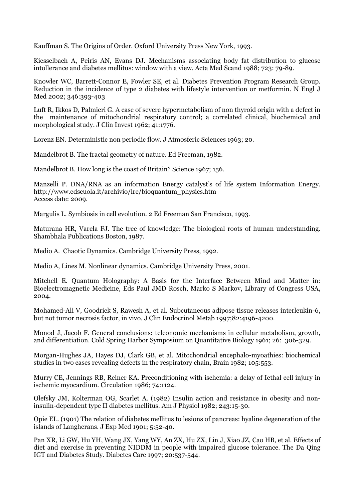Kauffman S. The Origins of Order. Oxford University Press New York, 1993.

Kiesselbach A, Peiris AN, Evans DJ. Mechanisms associating body fat distribution to glucose intollerance and diabetes mellitus: window with a view. Acta Med Scand 1988; 723: 79-89.

Knowler WC, Barrett-Connor E, Fowler SE, et al. Diabetes Prevention Program Research Group. Reduction in the incidence of type 2 diabetes with lifestyle intervention or metformin. N Engl J Med 2002; 346:393-403

Luft R, Ikkos D, Palmieri G. A case of severe hypermetabolism of non thyroid origin with a defect in the maintenance of mitochondrial respiratory control; a correlated clinical, biochemical and morphological study. J Clin Invest 1962; 41:1776.

Lorenz EN. Deterministic non periodic flow. J Atmosferic Sciences 1963; 20.

Mandelbrot B. The fractal geometry of nature. Ed Freeman, 1982.

Mandelbrot B. How long is the coast of Britain? Science 1967; 156.

Manzelli P. DNA/RNA as an information Energy catalyst's of life system Information Energy. http://www.edscuola.it/archivio/lre/bioquantum\_physics.htm Access date: 2009.

Margulis L. Symbiosis in cell evolution. 2 Ed Freeman San Francisco, 1993.

Maturana HR, Varela FJ. The tree of knowledge: The biological roots of human understanding. Shambhala Publications Boston, 1987.

Medio A. Chaotic Dynamics. Cambridge University Press, 1992.

Medio A, Lines M. Nonlinear dynamics. Cambridge University Press, 2001.

Mitchell E. Quantum Holography: A Basis for the Interface Between Mind and Matter in: Bioelectromagnetic Medicine, Eds Paul JMD Rosch, Marko S Markov, Library of Congress USA, 2004.

Mohamed-Ali V, Goodrick S, Rawesh A, et al. Subcutaneous adipose tissue releases interleukin-6, but not tumor necrosis factor, in vivo. J Clin Endocrinol Metab 1997;82:4196-4200.

Monod J, Jacob F. General conclusions: teleonomic mechanisms in cellular metabolism, growth, and differentiation. Cold Spring Harbor Symposium on Quantitative Biology 1961; 26: 306-329.

Morgan-Hughes JA, Hayes DJ, Clark GB, et al. Mitochondrial encephalo-myoathies: biochemical studies in two cases revealing defects in the respiratory chain, Brain 1982; 105:553.

Murry CE, Jennings RB, Reiner KA. Preconditioning with ischemia: a delay of Iethal cell injury in ischemic myocardium. Circulation 1986; 74:1124.

Olefsky JM, Kolterman OG, Scarlet A. (1982) Insulin action and resistance in obesity and noninsulin-dependent type II diabetes mellitus. Am J Physiol 1982; 243:15-30.

Opie EL. (1901) The relation of diabetes mellitus to lesions of pancreas: hyaline degeneration of the islands of Langherans. J Exp Med 1901; 5:52-40.

Pan XR, Li GW, Hu YH, Wang JX, Yang WY, An ZX, Hu ZX, Lin J, Xiao JZ, Cao HB, et al. Effects of diet and exercise in preventing NIDDM in people with impaired glucose tolerance. The Da Qing IGT and Diabetes Study. Diabetes Care 1997; 20:537-544.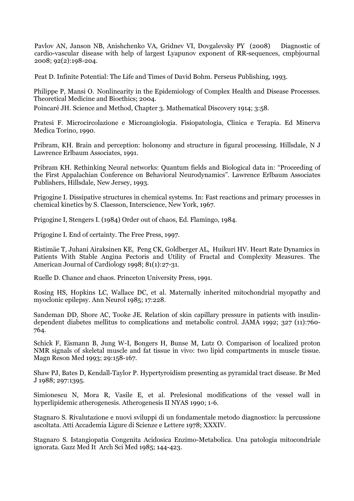Pavlov AN, Janson NB, Anishchenko VA, Gridnev VI, Dovgalevsky PY (2008) Diagnostic of cardio-vascular disease with help of largest Lyapunov exponent of RR-sequences, cmpbjournal 2008; 92(2):198-204.

Peat D. Infinite Potential: The Life and Times of David Bohm. Perseus Publishing, 1993.

Philippe P, Mansi O. Nonlinearity in the Epidemiology of Complex Health and Disease Processes. Theoretical Medicine and Bioethics; 2004.

Poincaré JH. Science and Method, Chapter 3. Mathematical Discovery 1914; 3:58.

Pratesi F. Microcircolazione e Microangiologia. Fisiopatologia, Clinica e Terapia. Ed Minerva Medica Torino, 1990.

Pribram, KH. Brain and perception: holonomy and structure in figural processing. Hillsdale, N J Lawrence Erlbaum Associates, 1991.

Pribram KH. Rethinking Neural networks: Quantum fields and Biological data in: "Proceeding of the First Appalachian Conference on Behavioral Neurodynamics". Lawrence Erlbaum Associates Publishers, Hillsdale, New Jersey, 1993.

Prigogine I. Dissipative structures in chemical systems. In: Fast reactions and primary processes in chemical kinetics by S. Claesson, Interscience, New York, 1967.

Prigogine I, Stengers I. (1984) Order out of chaos, Ed. Flamingo, 1984.

Prigogine I. End of certainty. The Free Press, 1997.

Ristimäe T, Juhani Airaksinen KE, Peng CK, Goldberger AL, Huikuri HV. Heart Rate Dynamics in Patients With Stable Angina Pectoris and Utility of Fractal and Complexity Measures. The American Journal of Cardiology 1998; 81(1):27-31.

Ruelle D. Chance and chaos. Princeton University Press, 1991.

Rosing HS, Hopkins LC, Wallace DC, et al. Maternally inherited mitochondrial myopathy and myoclonic epilepsy. Ann Neurol 1985; 17:228.

Sandeman DD, Shore AC, Tooke JE. Relation of skin capillary pressure in patients with insulindependent diabetes mellitus to complications and metabolic control. JAMA 1992; 327 (11):760- 764.

Schick F, Eismann B, Jung W-I, Bongers H, Bunse M, Lutz O. Comparison of localized proton NMR signals of skeletal muscle and fat tissue in vivo: two lipid compartments in muscle tissue. Magn Reson Med 1993; 29:158-167.

Shaw PJ, Bates D, Kendall-Taylor P. Hypertyroidism presenting as pyramidal tract disease. Br Med J 1988; 297:1395.

Simionescu N, Mora R, Vasile E, et al. Prelesional modifications of the vessel wall in hyperlipidemic atherogenesis. Atherogenesis II NYAS 1990; 1-6.

Stagnaro S. Rivalutazione e nuovi sviluppi di un fondamentale metodo diagnostico: la percussione ascoltata. Atti Accademia Ligure di Scienze e Lettere 1978; XXXIV.

Stagnaro S. Istangiopatia Congenita Acidosica Enzimo-Metabolica. Una patologia mitocondriale ignorata. Gazz Med It Arch Sci Med 1985; 144-423.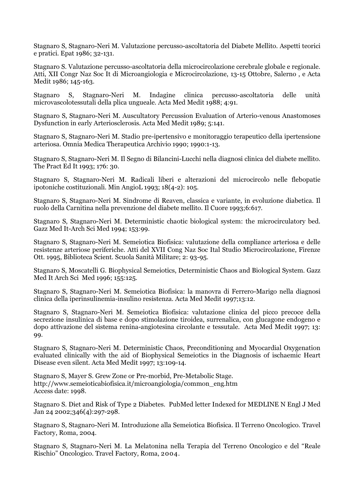Stagnaro S, Stagnaro-Neri M. Valutazione percusso-ascoltatoria del Diabete Mellito. Aspetti teorici e pratici. Epat 1986; 32-131.

Stagnaro S. Valutazione percusso-ascoltatoria della microcircolazione cerebrale globale e regionale. Atti, XII Congr Naz Soc It di Microangiologia e Microcircolazione, 13-15 Ottobre, Salerno , e Acta Medit 1986; 145-163.

Stagnaro S, Stagnaro-Neri M. Indagine clinica percusso-ascoltatoria delle unità microvascolotessutali della plica ungueale. Acta Med Medit 1988; 4:91.

Stagnaro S, Stagnaro-Neri M. Auscultatory Percussion Evaluation of Arterio-venous Anastomoses Dysfunction in early Arteriosclerosis. Acta Med Medit 1989; 5:141.

Stagnaro S, Stagnaro-Neri M. Stadio pre-ipertensivo e monitoraggio terapeutico della ipertensione arteriosa. Omnia Medica Therapeutica Archivio 1990; 1990:1-13.

Stagnaro S, Stagnaro-Neri M. Il Segno di Bilancini-Lucchi nella diagnosi clinica del diabete mellito. The Pract Ed It 1993; 176: 30.

Stagnaro S, Stagnaro-Neri M. Radicali liberi e alterazioni del microcircolo nelle flebopatie ipotoniche costituzionali. Min AngioL 1993; 18(4-2): 105.

Stagnaro S, Stagnaro-Neri M. Sindrome di Reaven, classica e variante, in evoluzione diabetica. Il ruolo della Carnitina nella prevenzione del diabete mellito. Il Cuore 1993;6:617.

Stagnaro S, Stagnaro-Neri M. Deterministic chaotic biological system: the microcirculatory bed. Gazz Med It-Arch Sci Med 1994; 153:99.

Stagnaro S, Stagnaro-Neri M. Semeiotica Biofisica: valutazione della compliance arteriosa e delle resistenze arteriose periferiche. Atti del XVII Cong Naz Soc Ital Studio Microcircolazione, Firenze Ott. 1995, Biblioteca Scient. Scuola Sanità Militare; 2: 93-95.

Stagnaro S, Moscatelli G. Biophysical Semeiotics, Deterministic Chaos and Biological System. Gazz Med It Arch Sci Med 1996; 155:125.

Stagnaro S, Stagnaro-Neri M. Semeiotica Biofisica: la manovra di Ferrero-Marigo nella diagnosi clinica della iperinsulinemia-insulino resistenza. Acta Med Medit 1997;13:12.

Stagnaro S, Stagnaro-Neri M. Semeiotica Biofisica: valutazione clinica del picco precoce della secrezione insulinica di base e dopo stimolazione tiroidea, surrenalica, con glucagone endogeno e dopo attivazione del sistema renina-angiotesina circolante e tessutale. Acta Med Medit 1997; 13: 99.

Stagnaro S, Stagnaro-Neri M. Deterministic Chaos, Preconditioning and Myocardial Oxygenation evaluated clinically with the aid of Biophysical Semeiotics in the Diagnosis of ischaemic Heart Disease even silent. Acta Med Medit 1997; 13:109-14.

Stagnaro S, Mayer S. Grew Zone or Pre-morbid, Pre-Metabolic Stage. http://www.semeioticabiofisica.it/microangiologia/common\_eng.htm Access date: 1998.

Stagnaro S. Diet and Risk of Type 2 Diabetes. PubMed letter Indexed for MEDLINE N Engl J Med Jan 24 2002;346(4):297-298.

Stagnaro S, Stagnaro-Neri M. Introduzione alla Semeiotica Biofisica. Il Terreno Oncologico. Travel Factory, Roma, 2004.

Stagnaro S, Stagnaro-Neri M. La Melatonina nella Terapia del Terreno Oncologico e del "Reale Rischio" Oncologico. Travel Factory, Roma, 2004.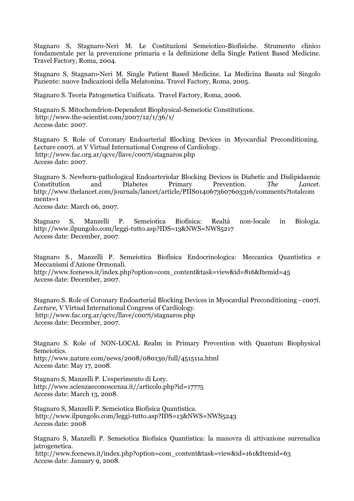Stagnaro S, Stagnaro-Neri M. Le Costituzioni Semeiotico-Biofisiche. Strumento clinico fondamentale per la prevenzione primaria e la definizione della Single Patient Based Medicine. Travel Factory, Roma, 2004.

Stagnaro S, Stagnaro-Neri M. Single Patient Based Medicine. La Medicina Basata sul Singolo Paziente: nuove Indicazioni della Melatonina. Travel Factory, Roma, 2005.

Stagnaro S. Teoria Patogenetica Unificata. Travel Factory, Roma, 2006.

Stagnaro S. Mitochondrion-Dependent Biophysical-Semeiotic Constitutions. http://www.the-scientist.com/2007/12/1/36/1/ Access date: 2007.

Stagnaro S. Role of Coronary Endoarterial Blocking Devices in Myocardial Preconditioning. Lecture c007i. at V Virtual International Congress of Cardiology. http://www.fac.org.ar/qcvc/llave/c007i/stagnaros.php Access date: 2007.

Stagnaro S. Newborn-pathological Endoarteriolar Blocking Devices in Diabetic and Dislipidaemic<br>Constitution and Diabetes Primary Prevention. The Lancet. Constitution and Diabetes Primary Prevention. The Lancet. http://www.thelancet.com/journals/lancet/article/PIIS0140673607603316/comments?totalcom ments=1

Access date: March 06, 2007.

Stagnaro S, Manzelli P. Semeiotica Biofisica: Realtà non-locale in Biologia. http://www.ilpungolo.com/leggi-tutto.asp?IDS=13&NWS=NWS5217 Access date: December, 2007.

Stagnaro S., Manzelli P. Semeiotica Biofisica Endocrinologica: Meccanica Quantistica e Meccanismi d'Azione Ormonali. http://www.fcenews.it/index.php?option=com\_content&task=view&id=816&Itemid=45 Access date: December, 2007.

Stagnaro S. Role of Coronary Endoarterial Blocking Devices in Myocardial Preconditioning - c007i. Lecture, V Virtual International Congress of Cardiology. http://www.fac.org.ar/qcvc/llave/c007i/stagnaros.php Access date: December, 2007.

Stagnaro S. Role of NON-LOCAL Realm in Primary Prevention with Quantum Biophysical Semeiotics. http://www.nature.com/news/2008/080130/full/451511a.html Access date: May 17, 2008.

Stagnaro S, Manzelli P. L'esperimento di Lory. http://www.scienzaeconoscenza.it//articolo.php?id=17775 Access date: March 13, 2008.

Stagnaro S, Manzelli P. Semeiotica Biofisica Quantistica. http://www.ilpungolo.com/leggi-tutto.asp?IDS=13&NWS=NWS5243 Access date: 2008

Stagnaro S, Manzelli P. Semeiotica Biofisica Quantistica: la manovra di attivazione surrenalica jatrogenetica. http://www.fcenews.it/index.php?option=com\_content&task=view&id=161&Itemid=63

Access date: January 9, 2008.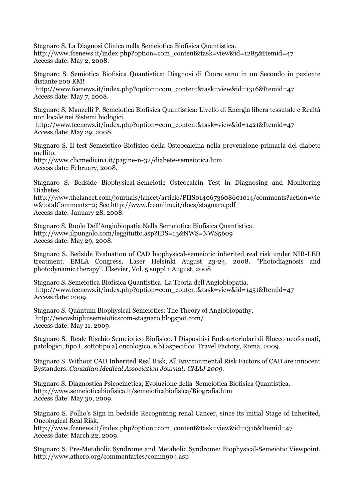Stagnaro S. La Diagnosi Clinica nella Semeiotica Biofisica Quantistica. http://www.fcenews.it/index.php?option=com\_content&task=view&id=1285&Itemid=47 Access date: May 2, 2008.

Stagnaro S. Semiotica Biofisica Quantistica: Diagnosi di Cuore sano in un Secondo in paziente distante 200 KM!

 http://www.fcenews.it/index.php?option=com\_content&task=view&id=1316&Itemid=47 Access date: May 7, 2008.

Stagnaro S, Manzelli P. Semeiotica Biofisica Quantistica: Livello di Energia libera tessutale e Realtà non locale nei Sistemi biologici.

 http://www.fcenews.it/index.php?option=com\_content&task=view&id=1421&Itemid=47 Access date: May 29, 2008.

Stagnaro S. Il test Semeiotico-Biofisico della Osteocalcina nella prevenzione primaria del diabete mellito.

http://www.clicmedicina.it/pagine-n-32/diabete-semeiotica.htm Access date: February, 2008.

Stagnaro S. Bedside Biophysical-Semeiotic Osteocalcin Test in Diagnosing and Monitoring Diabetes.

http://www.thelancet.com/journals/lancet/article/PIIS0140673608601014/comments?action=vie w&totalComments=2; See http://www.fceonline.it/docs/stagnaro.pdf Access date: January 28, 2008.

Stagnaro S. Ruolo Dell'Angiobiopatia Nella Semeiotica Biofisica Quantistica. http://www.ilpungolo.com/leggitutto.asp?IDS=13&NWS=NWS5609 Access date: May 29, 2008.

Stagnaro S. Bedside Evaluation of CAD biophysical-semeiotic inherited real risk under NIR-LED treatment. EMLA Congress, Laser Helsinki August 23-24, 2008. "Photodiagnosis and photodynamic therapy", Elsevier, Vol. 5 suppl 1 August, 2008

Stagnaro S. Semeiotica Biofisica Quantistica: La Teoria dell'Angiobiopatia. http://www.fcenews.it/index.php?option=com\_content&task=view&id=1451&Itemid=47 Access date: 2009.

Stagnaro S. Quantum Biophysical Semeiotics: The Theory of Angiobiopathy. http://wwwshiphusemeioticscom-stagnaro.blogspot.com/ Access date: May 11, 2009.

Stagnaro S. Reale Rischio Semeiotico Biofisico. I Dispositivi Endoarteriolari di Blocco neoformati, patologici, tipo I, sottotipo a) oncologico, e b) aspecifico. Travel Factory, Roma, 2009.

Stagnaro S. Without CAD Inherited Real Risk, All Environmental Risk Factors of CAD are innocent Bystanders. Canadian Medical Association Journal; CMAJ 2009.

Stagnaro S. Diagnostica Psicocinetica, Evoluzione della Semeiotica Biofisica Quantistica. http://www.semeioticabiofisica.it/semeioticabiofisica/Biografia.htm Access date: May 30, 2009.

Stagnaro S. Pollio's Sign in bedside Recognizing renal Cancer, since its initial Stage of Inherited, Oncological Real Risk.

http://www.fcenews.it/index.php?option=com\_content&task=view&id=1316&Itemid=47 Access date: March 22, 2009.

Stagnaro S. Pre-Metabolic Syndrome and Metabolic Syndrome: Biophysical-Semeiotic Viewpoint. http://www.athero.org/commentaries/comm904.asp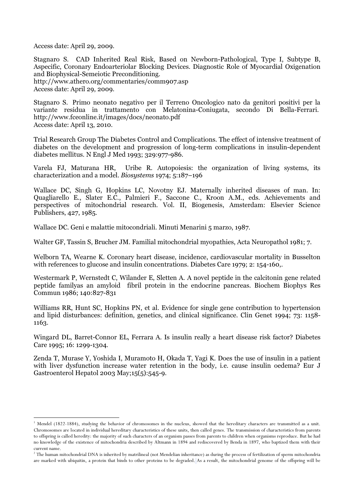Access date: April 29, 2009.

Stagnaro S. CAD Inherited Real Risk, Based on Newborn-Pathological, Type I, Subtype B, Aspecific, Coronary Endoarteriolar Blocking Devices. Diagnostic Role of Myocardial Oxigenation and Biophysical-Semeiotic Preconditioning. http://www.athero.org/commentaries/comm907.asp

Access date: April 29, 2009.

 $\overline{a}$ 

Stagnaro S. Primo neonato negativo per il Terreno Oncologico nato da genitori positivi per la variante residua in trattamento con Melatonina-Coniugata, secondo Di Bella-Ferrari. http://www.fceonline.it/images/docs/neonato.pdf Access date: April 13, 2010.

Trial Research Group The Diabetes Control and Complications. The effect of intensive treatment of diabetes on the development and progression of long-term complications in insulin-dependent diabetes mellitus. N Engl J Med 1993; 329:977-986.

Varela FJ, Maturana HR, Uribe R. Autopoiesis: the organization of living systems, its characterization and a model. Biosystems 1974; 5:187–196

Wallace DC, Singh G, Hopkins LC, Novotny EJ. Maternally inherited diseases of man. In: Quagliarello E., Slater E.C., Palmieri F., Saccone C., Kroon A.M., eds. Achievements and perspectives of mitochondrial research. Vol. II, Biogenesis, Amsterdam: Elsevier Science Publishers, 427, 1985.

Wallace DC. Geni e malattie mitocondriali. Minuti Menarini 5 marzo, 1987.

Walter GF, Tassin S, Brucher JM. Familial mitochondrial myopathies, Acta Neuropathol 1981; 7.

Welborn TA, Wearne K. Coronary heart disease, incidence, cardiovascular mortality in Busselton with references to glucose and insulin concentrations. Diabetes Care 1979; 2: 154-160,.

Westermark P, Wernstedt C, Wilander E, Sletten A. A novel peptide in the calcitonin gene related peptide familyas an amyloid fibril protein in the endocrine pancreas. Biochem Biophys Res Commun 1986; 140:827-831

Williams RR, Hunt SC, Hopkins PN, et al. Evidence for single gene contribution to hypertension and lipid disturbances: definition, genetics, and clinical significance. Clin Genet 1994; 73: 1158- 1163.

Wingard DL, Barret-Connor EL, Ferrara A. Is insulin really a heart disease risk factor? Diabetes Care 1995; 16: 1299-1304.

Zenda T, Murase Y, Yoshida I, Muramoto H, Okada T, Yagi K. Does the use of insulin in a patient with liver dysfunction increase water retention in the body, i.e. cause insulin oedema? Eur J Gastroenterol Hepatol 2003 May;15(5):545-9.

<sup>&</sup>lt;sup>1</sup> Mendel (1822-1884), studying the behavior of chromosomes in the nucleus, showed that the hereditary characters are transmitted as a unit. Chromosomes are located in individual hereditary characteristics of these units, then called genes. The transmission of characteristics from parents to offspring is called heredity: the majority of such characters of an organism passes from parents to children when organisms reproduce. But he had no knowledge of the existence of mitochondria described by Altmann in 1894 and rediscovered by Benda in 1897, who baptized them with their current name.

 $^2$  The human mitochondrial DNA is inherited by matrilineal (not Mendelian inheritance) as during the process of fertilization of sperm mitochondria are marked with ubiquitin, a protein that binds to other proteins to be degraded. As a result, the mitochondrial genome of the offspring will be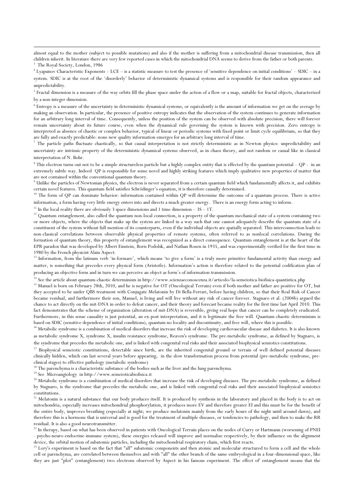almost equal to the mother (subject to possible mutations) and also if the mother is suffering from a mitochondrial disease transmission, then all children inherit. In literature there are very few reported cases in which the mitochondrial DNA seems to derive from the father or both parents.<br><sup>3</sup> Tl - Publishing the state of the children of the state of the mitochondr The Royal Society, London, 1986

4 Lyapunov Characteristic Exponents – LCE – is a statistic measure to test the presence of 'sensitive dependence on initial conditions' – SDIC – in a system. SDIC is at the root of the 'disorderly' behavior of deterministic dynamical systems and is responsible for their random appearance and unpredictability.

 $5$  Fractal dimension is a measure of the way orbits fill the phase space under the action of a flow or a map, suitable for fractal objects, characterized by a non-integer dimension.

 $^6$  Entropy is a measure of the uncertainty in deterministic dynamical systems, or equivalently is the amount of information we get on the average by making an observation. In particular, the presence of positive entropy indicates that the observation of the system continues to generate information for an arbitrary long interval of time. Consequently, unless the position of the system can be observed with absolute precision, there will forever remain uncertainty about its future course, even when the dynamical rule governing the system is known with precision. Zero entropy is interpreted as absence of chaotic or complex behavior, typical of linear or periodic systems with fixed point or limit cycle equilibrium, so that they are fully and exactly predictable: none new quality information emerges for an arbitrary long interval of time.

<sup>7</sup> The particle paths fluctuate chaotically, so that causal interpretation is not strictly deterministic as in Newton physics: unpredictability and uncertainty are intrinsic property of the deterministic dynamical systems observed, as in chaos theory, and not random or casual like in classical interpretation of N. Bohr.

 $8$  This electron turns out not to be a simple structureless particle but a highly complex entity that is effected by the quantum potential – QP - in an extremely subtle way. Indeed QP is responsible for some novel and highly striking features which imply qualitative new properties of matter that are not contained within the conventional quantum theory.

 $^9$  Unlike the particles of Newtonian physics, the electron is never separated from a certain quantum field which fundamentally affects it, and exhibits certain novel features. This quantum field satisfies Schrödinger's equation, it is therefore causally determined.

<sup>10</sup> The form of QP can dominate behavior: information contained within QP will determine the outcome of a quantum process. There is active information, a form having very little energy enters into and directs a much greater energy. There is an energy form acting to inform.

<sup>11</sup> In the local reality there are obviously 3 space dimensions and 1 time dimension –  $3S - 1T$ .

 $\overline{a}$ 

<sup>12</sup> Quantum entanglement, also called the quantum non-local connection, is a property of the quantum mechanical state of a system containing two or more objects, where the objects that make up the system are linked in a way such that one cannot adequately describe the quantum state of a constituent of the system without full mention of its counterparts, even if the individual objects are spatially separated. This interconnection leads to non-classical correlations between observable physical properties of remote systems, often referred to as nonlocal correlations. During the formation of quantum theory, this property of entanglement was recognized as a direct consequence. Quantum entanglement is at the heart of the EPR paradox that was developed by Albert Einstein, Boris Podolsk, and Nathan Rosen in 1935, and was experimentally verified for the first time in 1980 by the French physicist Alain Aspect.

<sup>13</sup> Information, from the latinum verb 'in-formare', which means 'to give a form' is a truly more primitive fundamental activity than energy and matter, is something that precedes every physical form (Aristotle). Information's action is therefore related to the potential codification plan of producing an objective form and in turn we can perceive an object as form's of information transmission.

<sup>14</sup> See the article about quantum-chaotic determinism in http://www.scienzaeconoscenza.it/articolo/la-semeiotica-biofisica-quantistica.php

<sup>15</sup> Manuel is born on February 28th, 2010, and he is negative for OT (Oncological Terrain) even if both mother and father are positive for OT, but they accepted to be under QBS treatment with Conjugate Melatonin by Di Bella-Ferrari, before having children, so that their Real Risk of Cancer became residual, and furthermore their son, Manuel, is living and will live without any risk of cancer forever. Stagnaro et al. (2004b) argued the chance to act directly on the mit-DNA in order to defeat cancer, and their theory and forecast became reality for the first time last April 2010. This fact demonstrates that the scheme of organization (alteration of mit-DNA) is reversible, giving real hope that cancer can be completely eradicated. Furthermore, in this sense causality is just potential, an ex-post interpretation, and it is legitimate the free will. Quantum-chaotic determinism is based on SDIC (sensitive dependence of initial conditions), quantum no locality and discontinuity, and free will, where this is possible.

<sup>16</sup> Metabolic syndrome is a combination of medical disorders that increase the risk of developing cardiovascular disease and diabetes. It is also known as metabolic syndrome X, syndrome X, insulin resistance syndrome, Reaven's syndrome. The pre-metabolic syndrome, as defined by Stagnaro, is the syndrome that precedes the metabolic one, and is linked with congenital real risks and their associated biophysical semiotics constitutions.

<sup>17</sup> Biophysical semeiotic constitutions, detectable since birth, are the inherited congenital ground or terrain of well defined potential diseases clinically hidden, which can last several years before appearing, in the slow transformation process from potential (pre-metabolic syndrome, preclinical stages) to effective pathology (metabolic syndrome)

<sup>18</sup> The parenchyma is a characteristic substance of the bodies such as the liver and the lung parenchyma.

<sup>19</sup> See Microangiology in http://www.semeioticabiofisica.it

<sup>20</sup> Metabolic syndrome is a combination of medical disorders that increase the risk of developing diseases. The pre-metabolic syndrome, as defined by Stagnaro, is the syndrome that precedes the metabolic one, and is linked with congenital real risks and their associated biophysical semiotics constitutions.

 $^{21}$  Melatonin is a natural substance that our body produces itself. It is produced by synthesis in the laboratory and placed in the body is to act on mitochondria, especially increases mitochondrial phosphorylation, it produces more EV and therefore greater EI and this must be for the benefit of the entire body, improves breathing (especially at night; we produce melatonin mainly from the early hours of the night until around dawn), and therefore this is a hormone that is universal and is good for the treatment of multiple diseases, or tendencies to pathology, and then to make the RR residual. It is also a good neurotransmitter.

<sup>22</sup> In therapy, based on what has been observed in patients with Oncological Terrain places on the nodes of Curry or Hartmann (worsening of PNEI - psycho-neuro-endocrine-immune system), these energies released will improve and normalize respectively, by their influence on the alignment device, the orbital motion of subatomic particles, including the mitochondrial respiratory chain, which first reacts.

<sup>23</sup> Lory's experiment is based on the fact that "all" subatomic components and then atomic and molecular structured to form a cell and the whole cell or parenchyma, are correlated between themselves and with "all" the other branch of the same embryological in a four-dimensional space, like they are just "plot" (entanglement) two electrons observed by Aspect in his famous experiment. The effect of' entanglement means that the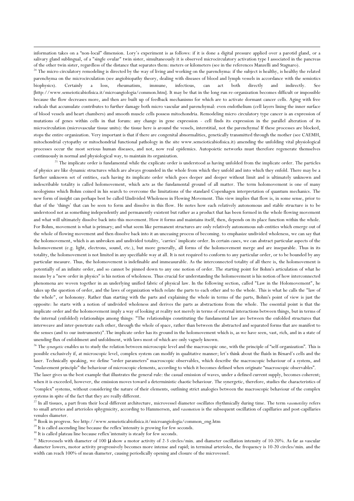information takes on a "non-local" dimension. Lory's experiment is as follows: if it is done a digital pressure applied over a parotid gland, or a salivary gland sublingual, of a "single ovular" twin sister, simultaneously it is observed microcirculatory activation type I associated in the pancreas of the other twin sister, regardless of the distance that separates them: meters or kilometers (see in the references Manzelli and Stagnaro).

 $\overline{a}$ 

<sup>24</sup> The micro-circulatory remodeling is directed by the way of living and working on the parenchyma: if the subject is healthy, is healthy the related parenchyma on the microcirculation (see angiobiopathy theory, dealing with diseases of blood and lymph vessels in accordance with the semiotics biophysics). Certainly a loss, rheumatism, immune, infectious, can act both directly and indirectly. See [http://www.semeioticabiofisica.it/microangiologia/common.htm]. It may be that in the long run re-organization becomes difficult or impossible because the flow decreases more, and then are built up of feedback mechanisms for which are to activate dormant cancer cells. Aging with free radicals that accumulate contributes to further damage both micro vascular and parenchymal: even endothelium (cell layers lining the inner surface of blood vessels and heart chambers) and smooth muscle cells possess mitochondria. Remodeling micro circulatory type cancer is an expression of mutations of genes within cells in that forum: any change in gene expression - cell finds its expression in the parallel alteration of its microcirculation (microvascular tissue units): the tissue here is around the vessels, interstitial, not the parenchyma! If these processes are blocked, stops the entire organization. Very important is that if there are congenital abnormalities, genetically transmitted through the mother (see CAEMH, mitochondrial cytopathy or mitochondrial functional pathology in the site www.semeioticabiofisica.it) amending the unfolding vital physiological processes occur the most serious human diseases, and not, now real epidemics. Autopoietic networks must therefore regenerate themselves continuously in normal and physiological way, to maintain its organization.

<sup>25</sup> The implicate order is fundamental while the explicate order is understood as having unfolded from the implicate order. The particles of physics are like dynamic structures which are always grounded in the whole from which they unfold and into which they enfold. There may be a further unknown set of entities, each having its implicate order which goes deeper and deeper without limit and is ultimately unknown and indescribable totality is called holomovement, which acts as the fundamental ground of all matter. The term holomovement is one of many neologisms which Bohm coined in his search to overcome the limitations of the standard Copenhagen interpretation of quantum mechanics. The new form of insight can perhaps best be called Undivided Wholeness in Flowing Movement. This view implies that flow is, in some sense, prior to that of the 'things' that can be seen to form and dissolve in this flow. He notes how each relatively autonomous and stable structure is to be understood not as something independently and permanently existent but rather as a product that has been formed in the whole flowing movement and what will ultimately dissolve back into this movement. How it forms and maintains itself, then, depends on its place function within the whole. For Bohm, movement is what is primary; and what seem like permanent structures are only relatively autonomous sub-entities which emerge out of the whole of flowing movement and then dissolve back into it an unceasing process of becoming. to emphasize undivided wholeness, we can say that the holomovement, which is an unbroken and undivided totality, 'carries' implicate order. In certain cases, we can abstract particular aspects of the holomovement (e.g. light, electrons, sound, etc.), but more generally, all forms of the holomovement merge and are inseparable. Thus in its totality, the holomovement is not limited in any specifiable way at all. It is not required to conform to any particular order, or to be bounded by any particular measure. Thus, the holomovement is indefinable and immeasurable. As the interconnected totality of all there is, the holomovement is potentially of an infinite order, and so cannot be pinned down to any one notion of order. The starting point for Bohm's articulation of what he means by a "new order in physics" is his notion of wholeness. Thus crucial for understanding the holomovement is his notion of how interconnected phenomena are woven together in an underlying unified fabric of physical law. In the following section, called "Law in the Holomovement", he takes up the question of order, and the laws of organization which relate the parts to each other and to the whole. This is what he calls the "law of the whole", or holonomy. Rather than starting with the parts and explaining the whole in terms of the parts, Bohm's point of view is just the opposite: he starts with a notion of undivided wholeness and derives the parts as abstractions from the whole. The essential point is that the implicate order and the holomovement imply a way of looking at reality not merely in terms of external interactions between things, but in terms of the internal (enfolded) relationships among things: "The relationships constituting the fundamental law are between the enfolded structures that interweave and inter-penetrate each other, through the whole of space, rather than between the abstracted and separated forms that are manifest to the senses (and to our instruments)".The implicate order has its ground in the holomovement which is, as we have seen, vast, rich, and in a state of unending flux of enfoldment and unfoldment, with laws most of which are only vaguely known.

<sup>26</sup> The synergetic enables us to study the relation between microscopic level and the macroscopic one, with the principle of "self-organization". This is possible exclusively if, at microscopic level, complex system can modify in qualitative manner; let's think about the fluids in Bènard's cells and the laser. Technically speaking, we define "order parameters" macroscopic observables, which describe the macroscopic behaviour of a system, and "enslavement principle" the behaviour of microscopic elements, according to which it becomes defined when originate "macroscopic observables".

The laser gives us the best example that illustrates the general rule: the casual emission of waves, under a defined current supply, becomes coherent; when it is exceeded, however, the emission moves toward a deterministic chaotic behaviour. The synergetic, therefore, studies the characteristics of "complex" systems, without considering the nature of their elements, outlining strict analogies between the macroscopic behaviour of the complex systems in spite of the fact that they are really different.

<sup>27</sup> In all tissues, a part from their local different architecture, microvessel diameter oscillates rhythmically during time. The term vasomotility refers to small arteries and arterioles sphygmicity, according to Hammersen, and vasomotion is the subsequent oscillation of capillaries and post-capillaries venules diameter.

 $^{28}$  Book in progress. See http://www.semeioticabiofisica.it/microangiologia/common\_eng.htm

<sup>29</sup> It is called ascending line because the reflex'intensity is growing for few seconds.

<sup>30</sup> It is called plateau line because reflex'intensity is steady for few seconds.

<sup>31</sup> Microvessels with diameter of 100  $\mu$  show a motor activity of 2-3 circles/min. and diameter oscillation intensity of 10-20%. As far as vascular diameter lowers, motor activity progressively becomes more intense and rapid; in terminal arterioles, the frequency is 10-20 circles/min. and the width can reach 100% of mean diameter, causing periodically opening and closure of the microvessel.